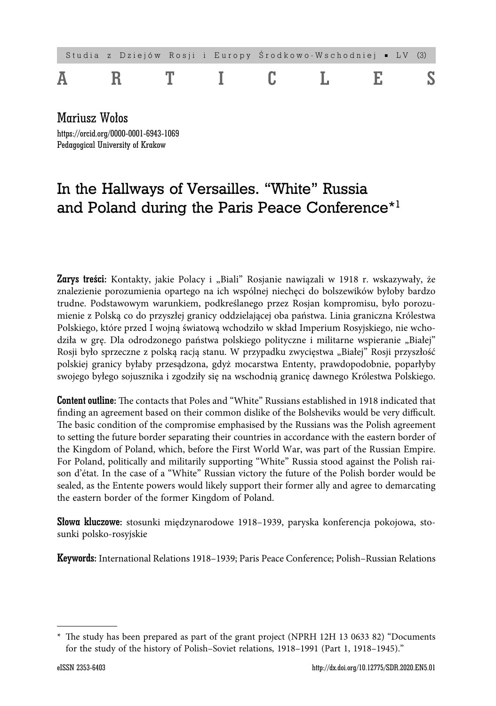# Studia z Dziejów Rosji i Europy Ś rodkowo-Wschodniej ■ LV (3) ARTICLES

Mariusz Wołos https://orcid.org/0000-0001-6943-1069 Pedagogical University of Krakow

# In the Hallways of Versailles. "White" Russia and Poland during the Paris Peace Conference<sup>\*1</sup>

Zarys treści: Kontakty, jakie Polacy i "Biali" Rosjanie nawiązali w 1918 r. wskazywały, że znalezienie porozumienia opartego na ich wspólnej niechęci do bolszewików byłoby bardzo trudne. Podstawowym warunkiem, podkreślanego przez Rosjan kompromisu, było porozumienie z Polską co do przyszłej granicy oddzielającej oba państwa. Linia graniczna Królestwa Polskiego, które przed I wojną światową wchodziło w skład Imperium Rosyjskiego, nie wchodziła w grę. Dla odrodzonego państwa polskiego polityczne i militarne wspieranie "Białej" Rosji było sprzeczne z polską racją stanu. W przypadku zwycięstwa "Białej" Rosji przyszłość polskiej granicy byłaby przesądzona, gdyż mocarstwa Ententy, prawdopodobnie, poparłyby swojego byłego sojusznika i zgodziły się na wschodnią granicę dawnego Królestwa Polskiego.

**Content outline:** The contacts that Poles and "White" Russians established in 1918 indicated that finding an agreement based on their common dislike of the Bolsheviks would be very difficult. The basic condition of the compromise emphasised by the Russians was the Polish agreement to setting the future border separating their countries in accordance with the eastern border of the Kingdom of Poland, which, before the First World War, was part of the Russian Empire. For Poland, politically and militarily supporting "White" Russia stood against the Polish raison d'état. In the case of a "White" Russian victory the future of the Polish border would be sealed, as the Entente powers would likely support their former ally and agree to demarcating the eastern border of the former Kingdom of Poland.

Słowa kluczowe: stosunki międzynarodowe 1918–1939, paryska konferencja pokojowa, stosunki polsko-rosyjskie

Keywords: International Relations 1918–1939; Paris Peace Conference; Polish–Russian Relations

<sup>\*</sup> The study has been prepared as part of the grant project (NPRH 12H 13 0633 82) "Documents for the study of the history of Polish–Soviet relations, 1918–1991 (Part 1, 1918–1945)."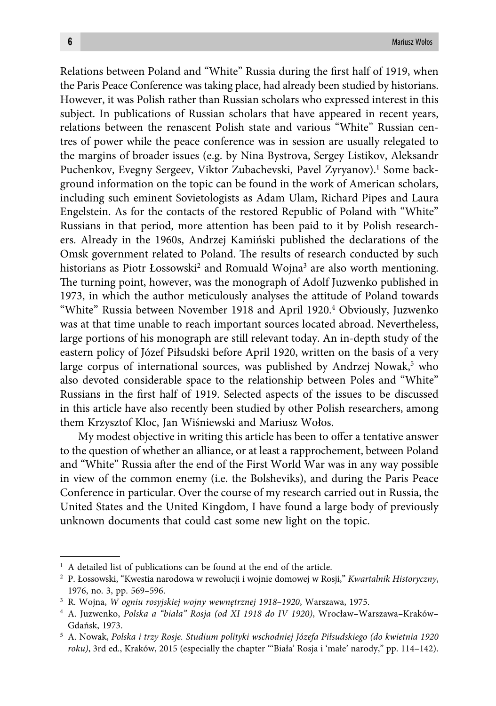Relations between Poland and "White" Russia during the first half of 1919, when the Paris Peace Conference was taking place, had already been studied by historians. However, it was Polish rather than Russian scholars who expressed interest in this subject. In publications of Russian scholars that have appeared in recent years, relations between the renascent Polish state and various "White" Russian centres of power while the peace conference was in session are usually relegated to the margins of broader issues (e.g. by Nina Bystrova, Sergey Listikov, Aleksandr Puchenkov, Evegny Sergeev, Viktor Zubachevski, Pavel Zyryanov).1 Some background information on the topic can be found in the work of American scholars, including such eminent Sovietologists as Adam Ulam, Richard Pipes and Laura Engelstein. As for the contacts of the restored Republic of Poland with "White" Russians in that period, more attention has been paid to it by Polish researchers. Already in the 1960s, Andrzej Kamiński published the declarations of the Omsk government related to Poland. The results of research conducted by such historians as Piotr Łossowski<sup>2</sup> and Romuald Wojna<sup>3</sup> are also worth mentioning. The turning point, however, was the monograph of Adolf Juzwenko published in 1973, in which the author meticulously analyses the attitude of Poland towards "White" Russia between November 1918 and April 1920.4 Obviously, Juzwenko was at that time unable to reach important sources located abroad. Nevertheless, large portions of his monograph are still relevant today. An in-depth study of the eastern policy of Józef Piłsudski before April 1920, written on the basis of a very large corpus of international sources, was published by Andrzej Nowak,<sup>5</sup> who also devoted considerable space to the relationship between Poles and "White" Russians in the first half of 1919. Selected aspects of the issues to be discussed in this article have also recently been studied by other Polish researchers, among them Krzysztof Kloc, Jan Wiśniewski and Mariusz Wołos.

My modest objective in writing this article has been to offer a tentative answer to the question of whether an alliance, or at least a rapprochement, between Poland and "White" Russia after the end of the First World War was in any way possible in view of the common enemy (i.e. the Bolsheviks), and during the Paris Peace Conference in particular. Over the course of my research carried out in Russia, the United States and the United Kingdom, I have found a large body of previously unknown documents that could cast some new light on the topic.

<sup>&</sup>lt;sup>1</sup> A detailed list of publications can be found at the end of the article.

<sup>2</sup> P. Łossowski, "Kwestia narodowa w rewolucji i wojnie domowej w Rosji," *Kwartalnik Historyczny*, 1976, no. 3, pp. 569–596.

<sup>3</sup> R. Wojna, *W ogniu rosyjskiej wojny wewnętrznej 1918–1920*, Warszawa, 1975.

<sup>4</sup> A. Juzwenko, *Polska a "biała" Rosja (od XI 1918 do IV 1920)*, Wrocław–Warszawa–Kraków– Gdańsk, 1973.

<sup>5</sup> A. Nowak, *Polska i trzy Rosje. Studium polityki wschodniej Józefa Piłsudskiego (do kwietnia 1920 roku)*, 3rd ed., Kraków, 2015 (especially the chapter "'Biała' Rosja i 'małe' narody," pp. 114–142).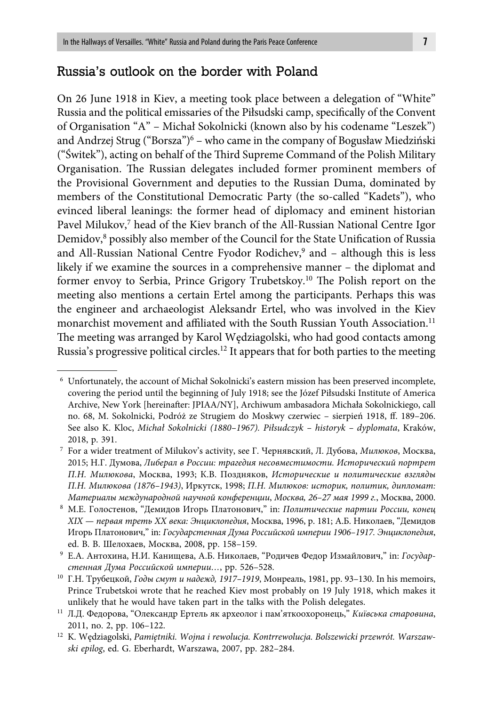# Russia's outlook on the border with Poland

On 26 June 1918 in Kiev, a meeting took place between a delegation of "White" Russia and the political emissaries of the Piłsudski camp, specifically of the Convent of Organisation "A" – Michał Sokolnicki (known also by his codename "Leszek") and Andrzej Strug ("Borsza")6 – who came in the company of Bogusław Miedziński ("Świtek"), acting on behalf of the Third Supreme Command of the Polish Military Organisation. The Russian delegates included former prominent members of the Provisional Government and deputies to the Russian Duma, dominated by members of the Constitutional Democratic Party (the so-called "Kadets"), who evinced liberal leanings: the former head of diplomacy and eminent historian Pavel Milukov,<sup>7</sup> head of the Kiev branch of the All-Russian National Centre Igor Demidov,<sup>8</sup> possibly also member of the Council for the State Unification of Russia and All-Russian National Centre Fyodor Rodichev,<sup>9</sup> and – although this is less likely if we examine the sources in a comprehensive manner – the diplomat and former envoy to Serbia, Prince Grigory Trubetskoy.<sup>10</sup> The Polish report on the meeting also mentions a certain Ertel among the participants. Perhaps this was the engineer and archaeologist Aleksandr Ertel, who was involved in the Kiev monarchist movement and affiliated with the South Russian Youth Association.<sup>11</sup> The meeting was arranged by Karol Wędziagolski, who had good contacts among Russia's progressive political circles.<sup>12</sup> It appears that for both parties to the meeting

<sup>6</sup> Unfortunately, the account of Michał Sokolnicki's eastern mission has been preserved incomplete, covering the period until the beginning of July 1918; see the Józef Piłsudski Institute of America Archive, New York [hereinafter: JPIAA/NY], Archiwum ambasadora Michała Sokolnickiego, call no. 68, M. Sokolnicki, Podróż ze Strugiem do Moskwy czerwiec – sierpień 1918, ff . 189–206. See also K. Kloc, *Michał Sokolnicki (1880–1967). Piłsudczyk – historyk – dyplomata*, Kraków, 2018, p. 391.

<sup>7</sup> For a wider treatment of Milukov's activity, see Г. Чернявский, Л. Дубова, *Милюков*, Москва, 2015; Н.Г. Думова, *Либерал в России: трагедия несовместимости. Исторический портрет П.Н. Милюкова*, Москва, 1993; К.В. Поздняков, *Исторические и политические взгляды П.Н. Милюкова (1876–1943)*, Иркутск, 1998; *П.Н. Милюков: историк, политик, дипломат: Материалы международной научной конференции*, *Москва, 26–27 мая 1999 г.*, Москва, 2000.

<sup>8</sup> М.Е. Голостенов, "Демидов Игорь Платонович," in: *Политические партии России, конец XIX — первая треть XX века: Энциклопедия*, Москва, 1996, p. 181; А.Б. Николаев, "Демидов Игорь Платонович," in: *Государстенная Дума Российской империи 1906–1917. Энциклопедия*, ed. В. В. Шелохаев, Москва, 2008, pp. 158–159.

<sup>9</sup> Е.А. Антохина, Н.И. Канищева, А.Б. Николаев, "Родичев Федор Измайлович," in: *Государстенная Дума Российской империи…*, pp. 526–528.

<sup>10</sup> Г.Н. Трубецкой, *Годы смут и надежд, 1917–1919*, Монреаль, 1981, pp. 93–130. In his memoirs, Prince Trubetskoi wrote that he reached Kiev most probably on 19 July 1918, which makes it unlikely that he would have taken part in the talks with the Polish delegates.

<sup>11</sup> Л.Д. Федорова, "Олександр Ертель як археолог і пам'яткоохоронець," *Київська старовина*, 2011, no. 2, pp. 106–122.

<sup>12</sup> K. Wędziagolski, *Pamiętniki. Wojna i rewolucja. Kontrrewolucja. Bolszewicki przewrót. Warszawski epilog*, ed. G. Eberhardt, Warszawa, 2007, pp. 282–284.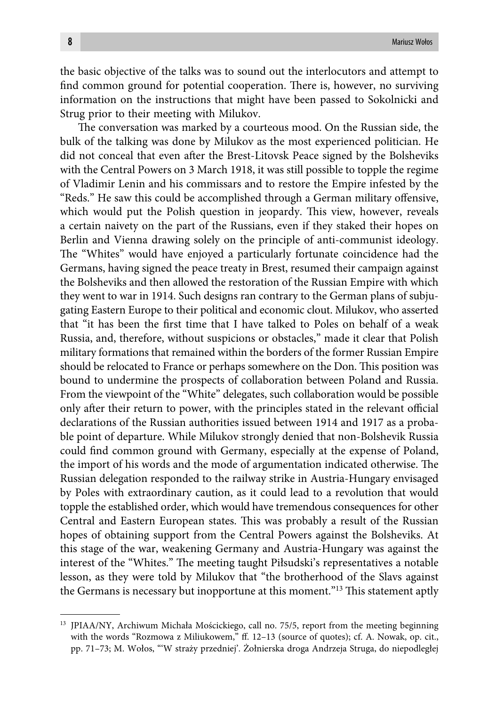the basic objective of the talks was to sound out the interlocutors and attempt to find common ground for potential cooperation. There is, however, no surviving information on the instructions that might have been passed to Sokolnicki and Strug prior to their meeting with Milukov.

The conversation was marked by a courteous mood. On the Russian side, the bulk of the talking was done by Milukov as the most experienced politician. He did not conceal that even after the Brest-Litovsk Peace signed by the Bolsheviks with the Central Powers on 3 March 1918, it was still possible to topple the regime of Vladimir Lenin and his commissars and to restore the Empire infested by the "Reds." He saw this could be accomplished through a German military offensive, which would put the Polish question in jeopardy. This view, however, reveals a certain naivety on the part of the Russians, even if they staked their hopes on Berlin and Vienna drawing solely on the principle of anti-communist ideology. The "Whites" would have enjoyed a particularly fortunate coincidence had the Germans, having signed the peace treaty in Brest, resumed their campaign against the Bolsheviks and then allowed the restoration of the Russian Empire with which they went to war in 1914. Such designs ran contrary to the German plans of subjugating Eastern Europe to their political and economic clout. Milukov, who asserted that "it has been the first time that I have talked to Poles on behalf of a weak Russia, and, therefore, without suspicions or obstacles," made it clear that Polish military formations that remained within the borders of the former Russian Empire should be relocated to France or perhaps somewhere on the Don. This position was bound to undermine the prospects of collaboration between Poland and Russia. From the viewpoint of the "White" delegates, such collaboration would be possible only after their return to power, with the principles stated in the relevant official declarations of the Russian authorities issued between 1914 and 1917 as a probable point of departure. While Milukov strongly denied that non-Bolshevik Russia could find common ground with Germany, especially at the expense of Poland, the import of his words and the mode of argumentation indicated otherwise. The Russian delegation responded to the railway strike in Austria-Hungary envisaged by Poles with extraordinary caution, as it could lead to a revolution that would topple the established order, which would have tremendous consequences for other Central and Eastern European states. This was probably a result of the Russian hopes of obtaining support from the Central Powers against the Bolsheviks. At this stage of the war, weakening Germany and Austria-Hungary was against the interest of the "Whites." The meeting taught Piłsudski's representatives a notable lesson, as they were told by Milukov that "the brotherhood of the Slavs against the Germans is necessary but inopportune at this moment."<sup>13</sup> This statement aptly

<sup>&</sup>lt;sup>13</sup> JPIAA/NY, Archiwum Michała Mościckiego, call no. 75/5, report from the meeting beginning with the words "Rozmowa z Miliukowem," ff. 12-13 (source of quotes); cf. A. Nowak, op. cit., pp. 71–73; M. Wołos, "'W straży przedniej'. Żołnierska droga Andrzeja Struga, do niepodległej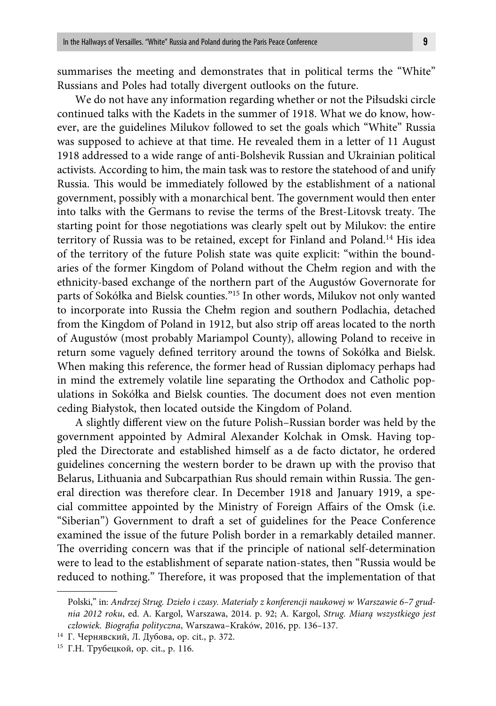summarises the meeting and demonstrates that in political terms the "White" Russians and Poles had totally divergent outlooks on the future.

We do not have any information regarding whether or not the Piłsudski circle continued talks with the Kadets in the summer of 1918. What we do know, however, are the guidelines Milukov followed to set the goals which "White" Russia was supposed to achieve at that time. He revealed them in a letter of 11 August 1918 addressed to a wide range of anti-Bolshevik Russian and Ukrainian political activists. According to him, the main task was to restore the statehood of and unify Russia. This would be immediately followed by the establishment of a national government, possibly with a monarchical bent. The government would then enter into talks with the Germans to revise the terms of the Brest-Litovsk treaty. The starting point for those negotiations was clearly spelt out by Milukov: the entire territory of Russia was to be retained, except for Finland and Poland.14 His idea of the territory of the future Polish state was quite explicit: "within the boundaries of the former Kingdom of Poland without the Chełm region and with the ethnicity-based exchange of the northern part of the Augustów Governorate for parts of Sokółka and Bielsk counties."15 In other words, Milukov not only wanted to incorporate into Russia the Chełm region and southern Podlachia, detached from the Kingdom of Poland in 1912, but also strip off areas located to the north of Augustów (most probably Mariampol County), allowing Poland to receive in return some vaguely defined territory around the towns of Sokółka and Bielsk. When making this reference, the former head of Russian diplomacy perhaps had in mind the extremely volatile line separating the Orthodox and Catholic populations in Sokółka and Bielsk counties. The document does not even mention ceding Białystok, then located outside the Kingdom of Poland.

A slightly different view on the future Polish-Russian border was held by the government appointed by Admiral Alexander Kolchak in Omsk. Having toppled the Directorate and established himself as a de facto dictator, he ordered guidelines concerning the western border to be drawn up with the proviso that Belarus, Lithuania and Subcarpathian Rus should remain within Russia. The general direction was therefore clear. In December 1918 and January 1919, a special committee appointed by the Ministry of Foreign Affairs of the Omsk (i.e. "Siberian") Government to draft a set of guidelines for the Peace Conference examined the issue of the future Polish border in a remarkably detailed manner. The overriding concern was that if the principle of national self-determination were to lead to the establishment of separate nation-states, then "Russia would be reduced to nothing." Therefore, it was proposed that the implementation of that

Polski," in: *Andrzej Strug. Dzieło i czasy. Materiały z konferencji naukowej w Warszawie 6–7 grudnia 2012 roku*, ed. A. Kargol, Warszawa, 2014. p. 92; A. Kargol, *Strug. Miarą wszystkiego jest*  człowiek. Biografia polityczna, Warszawa-Kraków, 2016, pp. 136-137.

<sup>14</sup> Г. Чернявский, Л. Дубова, op. cit., p. 372.

<sup>15</sup> Г.Н. Трубецкой, op. cit., p. 116.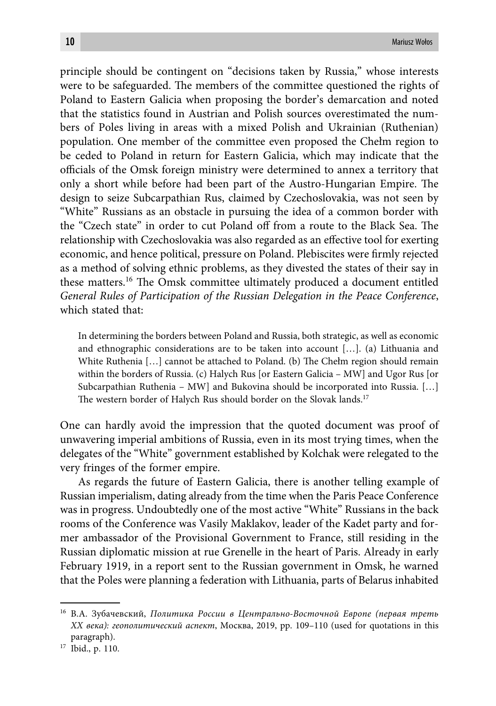principle should be contingent on "decisions taken by Russia," whose interests were to be safeguarded. The members of the committee questioned the rights of Poland to Eastern Galicia when proposing the border's demarcation and noted that the statistics found in Austrian and Polish sources overestimated the numbers of Poles living in areas with a mixed Polish and Ukrainian (Ruthenian) population. One member of the committee even proposed the Chełm region to be ceded to Poland in return for Eastern Galicia, which may indicate that the officials of the Omsk foreign ministry were determined to annex a territory that only a short while before had been part of the Austro-Hungarian Empire. The design to seize Subcarpathian Rus, claimed by Czechoslovakia, was not seen by "White" Russians as an obstacle in pursuing the idea of a common border with the "Czech state" in order to cut Poland off from a route to the Black Sea. The relationship with Czechoslovakia was also regarded as an effective tool for exerting economic, and hence political, pressure on Poland. Plebiscites were firmly rejected as a method of solving ethnic problems, as they divested the states of their say in these matters.<sup>16</sup> The Omsk committee ultimately produced a document entitled *General Rules of Participation of the Russian Delegation in the Peace Conference*, which stated that:

In determining the borders between Poland and Russia, both strategic, as well as economic and ethnographic considerations are to be taken into account […]. (a) Lithuania and White Ruthenia  $[\,\ldots]$  cannot be attached to Poland. (b) The Chełm region should remain within the borders of Russia. (c) Halych Rus [or Eastern Galicia – MW] and Ugor Rus [or Subcarpathian Ruthenia – MW] and Bukovina should be incorporated into Russia. […] The western border of Halych Rus should border on the Slovak lands.<sup>17</sup>

One can hardly avoid the impression that the quoted document was proof of unwavering imperial ambitions of Russia, even in its most trying times, when the delegates of the "White" government established by Kolchak were relegated to the very fringes of the former empire.

As regards the future of Eastern Galicia, there is another telling example of Russian imperialism, dating already from the time when the Paris Peace Conference was in progress. Undoubtedly one of the most active "White" Russians in the back rooms of the Conference was Vasily Maklakov, leader of the Kadet party and former ambassador of the Provisional Government to France, still residing in the Russian diplomatic mission at rue Grenelle in the heart of Paris. Already in early February 1919, in a report sent to the Russian government in Omsk, he warned that the Poles were planning a federation with Lithuania, parts of Belarus inhabited

<sup>16</sup> В.А. Зубачевский, *Политика России в Центрально-Восточной Европе (первая треть ХХ века): геополитический аспект*, Москва, 2019, pp. 109–110 (used for quotations in this paragraph).

<sup>17</sup> Ibid., p. 110.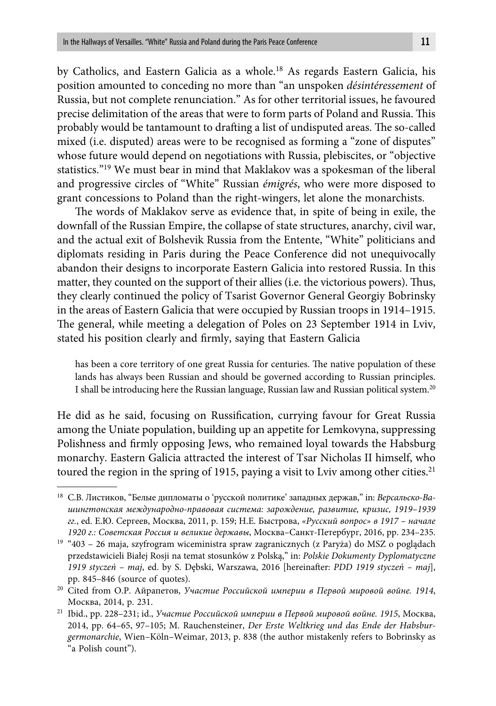by Catholics, and Eastern Galicia as a whole.<sup>18</sup> As regards Eastern Galicia, his position amounted to conceding no more than "an unspoken *désintéressement* of Russia, but not complete renunciation." As for other territorial issues, he favoured precise delimitation of the areas that were to form parts of Poland and Russia. This probably would be tantamount to drafting a list of undisputed areas. The so-called mixed (i.e. disputed) areas were to be recognised as forming a "zone of disputes" whose future would depend on negotiations with Russia, plebiscites, or "objective statistics."19 We must bear in mind that Maklakov was a spokesman of the liberal and progressive circles of "White" Russian *émigrés*, who were more disposed to grant concessions to Poland than the right-wingers, let alone the monarchists.

The words of Maklakov serve as evidence that, in spite of being in exile, the downfall of the Russian Empire, the collapse of state structures, anarchy, civil war, and the actual exit of Bolshevik Russia from the Entente, "White" politicians and diplomats residing in Paris during the Peace Conference did not unequivocally abandon their designs to incorporate Eastern Galicia into restored Russia. In this matter, they counted on the support of their allies (i.e. the victorious powers). Thus, they clearly continued the policy of Tsarist Governor General Georgiy Bobrinsky in the areas of Eastern Galicia that were occupied by Russian troops in 1914–1915. The general, while meeting a delegation of Poles on 23 September 1914 in Lviv, stated his position clearly and firmly, saying that Eastern Galicia

has been a core territory of one great Russia for centuries. The native population of these lands has always been Russian and should be governed according to Russian principles. I shall be introducing here the Russian language, Russian law and Russian political system.20

He did as he said, focusing on Russification, currying favour for Great Russia among the Uniate population, building up an appetite for Lemkovyna, suppressing Polishness and firmly opposing Jews, who remained loyal towards the Habsburg monarchy. Eastern Galicia attracted the interest of Tsar Nicholas II himself, who toured the region in the spring of 1915, paying a visit to Lviv among other cities.<sup>21</sup>

<sup>18</sup> С.В. Листиков, "Белые дипломаты о 'русской политике' западных держав," in: *Версальско-Вашингтонская международно-правовая система: зарождение, развитие, кризис, 1919*–*1939 гг.*, ed. Е.Ю. Сергеев, Москва, 2011, p. 159; Н.Е. Быстрова, *«Русский вопрос» в 1917 – начале 1920 г.: Советская Россия и великие державы*, Москва–Санкт-Петербург, 2016, pp. 234–235.

<sup>&</sup>lt;sup>19</sup> "403 – 26 maja, szyfrogram wiceministra spraw zagranicznych (z Paryża) do MSZ o poglądach przedstawicieli Białej Rosji na temat stosunków z Polską," in: *Polskie Dokumenty Dyplomatyczne*  1919 styczeń – maj, ed. by S. Dębski, Warszawa, 2016 [hereinafter: *PDD 1919 styczeń – maj*], pp. 845–846 (source of quotes).

<sup>20</sup> Cited from О.Р. Айрапетов, *Участие Российской империи в Первой мировой войне. 1914*, Москва, 2014, p. 231.

<sup>21</sup> Ibid., pp. 228–231; id., *Участие Российской империи в Первой мировой войне. 1915*, Москва, 2014, pp. 64–65, 97–105; M. Rauchensteiner, *Der Erste Weltkrieg und das Ende der Habsburgermonarchie*, Wien–Köln–Weimar, 2013, p. 838 (the author mistakenly refers to Bobrinsky as "a Polish count").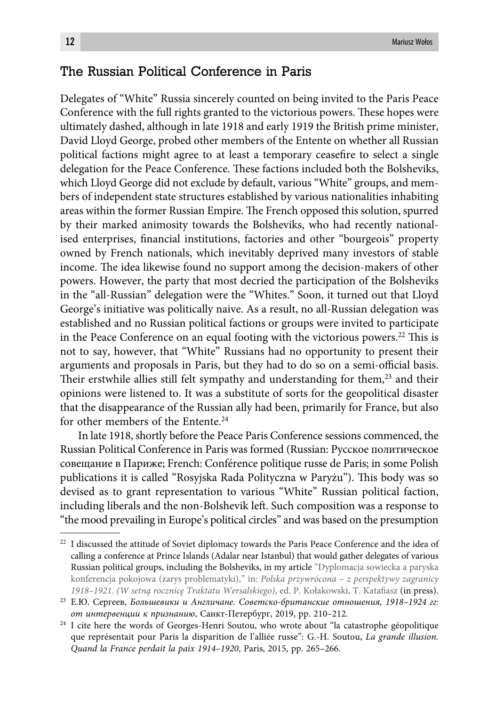# The Russian Political Conference in Paris

Delegates of "White" Russia sincerely counted on being invited to the Paris Peace Conference with the full rights granted to the victorious powers. These hopes were ultimately dashed, although in late 1918 and early 1919 the British prime minister, David Lloyd George, probed other members of the Entente on whether all Russian political factions might agree to at least a temporary ceasefire to select a single delegation for the Peace Conference. These factions included both the Bolsheviks, which Lloyd George did not exclude by default, various "White" groups, and members of independent state structures established by various nationalities inhabiting areas within the former Russian Empire. The French opposed this solution, spurred by their marked animosity towards the Bolsheviks, who had recently nationalised enterprises, financial institutions, factories and other "bourgeois" property owned by French nationals, which inevitably deprived many investors of stable income. The idea likewise found no support among the decision-makers of other powers. However, the party that most decried the participation of the Bolsheviks in the "all-Russian" delegation were the "Whites." Soon, it turned out that Lloyd George's initiative was politically naive. As a result, no all-Russian delegation was established and no Russian political factions or groups were invited to participate in the Peace Conference on an equal footing with the victorious powers.<sup>22</sup> This is not to say, however, that "White" Russians had no opportunity to present their arguments and proposals in Paris, but they had to do so on a semi-official basis. Their erstwhile allies still felt sympathy and understanding for them, $23$  and their opinions were listened to. It was a substitute of sorts for the geopolitical disaster that the disappearance of the Russian ally had been, primarily for France, but also for other members of the Entente.<sup>24</sup>

In late 1918, shortly before the Peace Paris Conference sessions commenced, the Russian Political Conference in Paris was formed (Russian: Русское политическое совещание в Париже; French: Conférence politique russe de Paris; in some Polish publications it is called "Rosyjska Rada Polityczna w Paryżu"). This body was so devised as to grant representation to various "White" Russian political faction, including liberals and the non-Bolshevik left. Such composition was a response to "the mood prevailing in Europe's political circles" and was based on the presumption

<sup>&</sup>lt;sup>22</sup> I discussed the attitude of Soviet diplomacy towards the Paris Peace Conference and the idea of calling a conference at Prince Islands (Adalar near Istanbul) that would gather delegates of various Russian political groups, including the Bolsheviks, in my article "Dyplomacja sowiecka a paryska konferencja pokojowa (zarys problematyki)," in: *Polska przywrócona – z perspektywy zagranicy*  1918–1921. (W setną rocznicę Traktatu Wersalskiego), ed. P. Kołakowski, T. Katafiasz (in press).

<sup>23</sup> Е.Ю. Сергеев, *Большевики и Англичане. Советско-британские отношения, 1918–1924 гг: от интервенции к признанию*, Санкт-Петербург, 2019, pp. 210–212.

<sup>&</sup>lt;sup>24</sup> I cite here the words of Georges-Henri Soutou, who wrote about "la catastrophe géopolitique que représentait pour Paris la disparition de l'alliée russe": G.-H. Soutou, *La grande illusion. Quand la France perdait la paix 1914–1920*, Paris, 2015, pp. 265–266.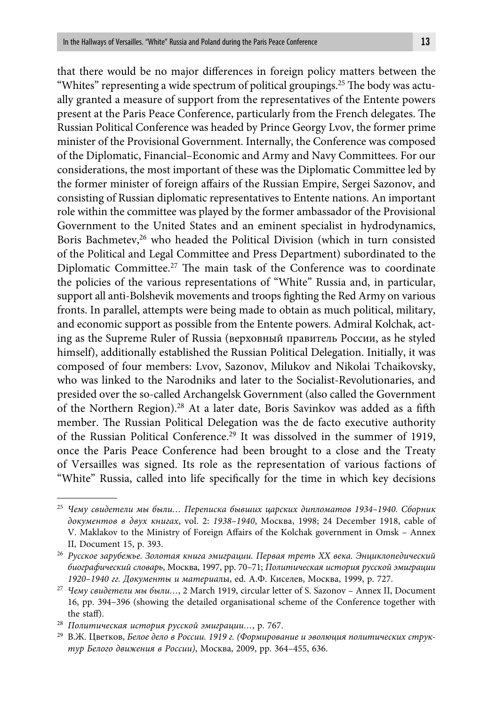that there would be no major differences in foreign policy matters between the "Whites" representing a wide spectrum of political groupings.<sup>25</sup> The body was actually granted a measure of support from the representatives of the Entente powers present at the Paris Peace Conference, particularly from the French delegates. The Russian Political Conference was headed by Prince Georgy Lvov, the former prime minister of the Provisional Government. Internally, the Conference was composed of the Diplomatic, Financial–Economic and Army and Navy Committees. For our considerations, the most important of these was the Diplomatic Committee led by the former minister of foreign affairs of the Russian Empire, Sergei Sazonov, and consisting of Russian diplomatic representatives to Entente nations. An important role within the committee was played by the former ambassador of the Provisional Government to the United States and an eminent specialist in hydrodynamics, Boris Bachmetev,<sup>26</sup> who headed the Political Division (which in turn consisted of the Political and Legal Committee and Press Department) subordinated to the Diplomatic Committee.<sup>27</sup> The main task of the Conference was to coordinate the policies of the various representations of "White" Russia and, in particular, support all anti-Bolshevik movements and troops fighting the Red Army on various fronts. In parallel, attempts were being made to obtain as much political, military, and economic support as possible from the Entente powers. Admiral Kolchak, acting as the Supreme Ruler of Russia (верховный правитель России, as he styled himself), additionally established the Russian Political Delegation. Initially, it was composed of four members: Lvov, Sazonov, Milukov and Nikolai Tchaikovsky, who was linked to the Narodniks and later to the Socialist-Revolutionaries, and presided over the so-called Archangelsk Government (also called the Government of the Northern Region).<sup>28</sup> At a later date, Boris Savinkov was added as a fifth member. The Russian Political Delegation was the de facto executive authority of the Russian Political Conference.29 It was dissolved in the summer of 1919, once the Paris Peace Conference had been brought to a close and the Treaty of Versailles was signed. Its role as the representation of various factions of "White" Russia, called into life specifically for the time in which key decisions

<sup>25</sup> *Чему свидетели мы были… Переписка бывших царских дипломатов 1934–1940. Сборник документов в двух книгах*, vol. 2: *1938–1940*, Москва, 1998; 24 December 1918, cable of V. Maklakov to the Ministry of Foreign Affairs of the Kolchak government in Omsk – Annex II, Document 15, p. 393.

<sup>26</sup> *Русское зарубежье. Золотая книга эмиграции. Первая треть XX века. Энциклопедический биографический словарь*, Москва, 1997, pp. 70–71; *Политическая история русской эмиграции 1920–1940 гг. Документы и материа*лы, ed. А.Ф. Киселев, Москва, 1999, p. 727.

<sup>27</sup> *Чему свидетели мы были…*, 2 March 1919, circular letter of S. Sazonov – Annex II, Document 16, pp. 394–396 (showing the detailed organisational scheme of the Conference together with the staff).

<sup>28</sup> *Политическая история русской эмиграции…*, p. 767.

<sup>29</sup> В.Ж. Цветков, *Белое дело в России. 1919 г. (Формирование и эволюция политических структур Белого движения в России)*, Москва, 2009, pp. 364–455, 636.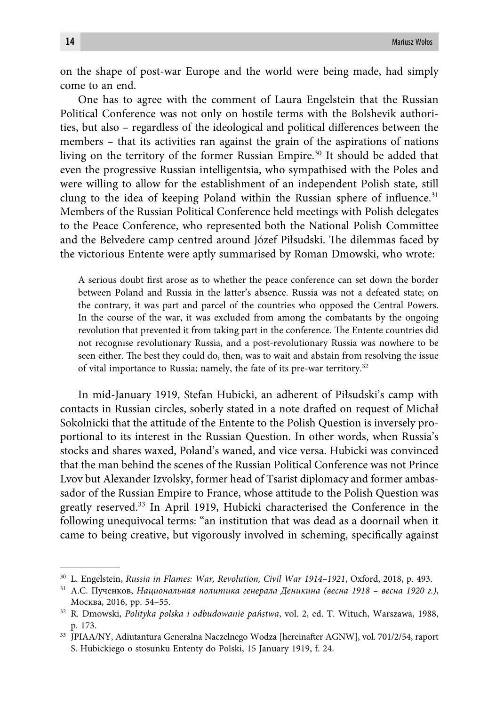on the shape of post-war Europe and the world were being made, had simply come to an end.

One has to agree with the comment of Laura Engelstein that the Russian Political Conference was not only on hostile terms with the Bolshevik authorities, but also – regardless of the ideological and political differences between the members – that its activities ran against the grain of the aspirations of nations living on the territory of the former Russian Empire.30 It should be added that even the progressive Russian intelligentsia, who sympathised with the Poles and were willing to allow for the establishment of an independent Polish state, still clung to the idea of keeping Poland within the Russian sphere of influence.<sup>31</sup> Members of the Russian Political Conference held meetings with Polish delegates to the Peace Conference, who represented both the National Polish Committee and the Belvedere camp centred around Józef Piłsudski. The dilemmas faced by the victorious Entente were aptly summarised by Roman Dmowski, who wrote:

A serious doubt first arose as to whether the peace conference can set down the border between Poland and Russia in the latter's absence. Russia was not a defeated state; on the contrary, it was part and parcel of the countries who opposed the Central Powers. In the course of the war, it was excluded from among the combatants by the ongoing revolution that prevented it from taking part in the conference. The Entente countries did not recognise revolutionary Russia, and a post-revolutionary Russia was nowhere to be seen either. The best they could do, then, was to wait and abstain from resolving the issue of vital importance to Russia; namely, the fate of its pre-war territory.32

In mid-January 1919, Stefan Hubicki, an adherent of Piłsudski's camp with contacts in Russian circles, soberly stated in a note drafted on request of Michał Sokolnicki that the attitude of the Entente to the Polish Question is inversely proportional to its interest in the Russian Question. In other words, when Russia's stocks and shares waxed, Poland's waned, and vice versa. Hubicki was convinced that the man behind the scenes of the Russian Political Conference was not Prince Lvov but Alexander Izvolsky, former head of Tsarist diplomacy and former ambassador of the Russian Empire to France, whose attitude to the Polish Question was greatly reserved.33 In April 1919, Hubicki characterised the Conference in the following unequivocal terms: "an institution that was dead as a doornail when it came to being creative, but vigorously involved in scheming, specifically against

<sup>30</sup> L. Engelstein, *Russia in Flames: War, Revolution, Civil War 1914–1921*, Oxford, 2018, p. 493.

<sup>31</sup> А.С. Пученков, *Национальная политика генерала Деникина (весна 1918 – весна 1920 г.)*, Москва, 2016, pp. 54–55.

<sup>32</sup> R. Dmowski, *Polityka polska i odbudowanie państwa*, vol. 2, ed. T. Wituch, Warszawa, 1988, p. 173.

<sup>33</sup> JPIAA/NY, Adiutantura Generalna Naczelnego Wodza [hereinafter AGNW], vol. 701/2/54, raport S. Hubickiego o stosunku Ententy do Polski, 15 January 1919, f. 24.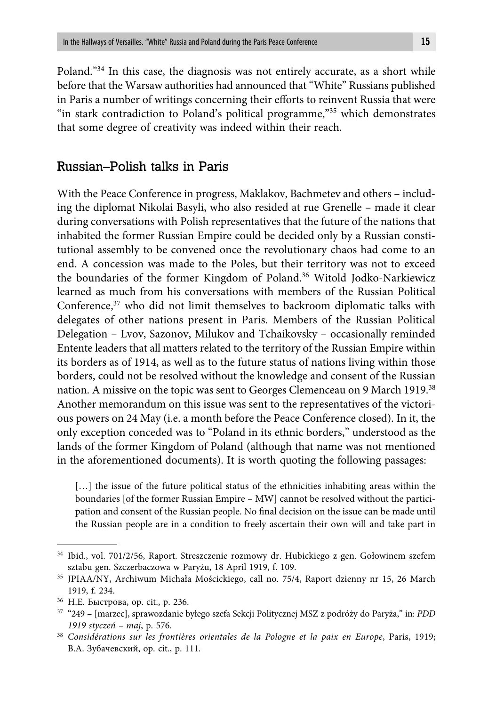Poland."34 In this case, the diagnosis was not entirely accurate, as a short while before that the Warsaw authorities had announced that "White" Russians published in Paris a number of writings concerning their efforts to reinvent Russia that were "in stark contradiction to Poland's political programme,"<sup>35</sup> which demonstrates that some degree of creativity was indeed within their reach.

### Russian–Polish talks in Paris

With the Peace Conference in progress, Maklakov, Bachmetev and others – including the diplomat Nikolai Basyli, who also resided at rue Grenelle – made it clear during conversations with Polish representatives that the future of the nations that inhabited the former Russian Empire could be decided only by a Russian constitutional assembly to be convened once the revolutionary chaos had come to an end. A concession was made to the Poles, but their territory was not to exceed the boundaries of the former Kingdom of Poland.36 Witold Jodko-Narkiewicz learned as much from his conversations with members of the Russian Political Conference,37 who did not limit themselves to backroom diplomatic talks with delegates of other nations present in Paris. Members of the Russian Political Delegation – Lvov, Sazonov, Milukov and Tchaikovsky – occasionally reminded Entente leaders that all matters related to the territory of the Russian Empire within its borders as of 1914, as well as to the future status of nations living within those borders, could not be resolved without the knowledge and consent of the Russian nation. A missive on the topic was sent to Georges Clemenceau on 9 March 1919.38 Another memorandum on this issue was sent to the representatives of the victorious powers on 24 May (i.e. a month before the Peace Conference closed). In it, the only exception conceded was to "Poland in its ethnic borders," understood as the lands of the former Kingdom of Poland (although that name was not mentioned in the aforementioned documents). It is worth quoting the following passages:

[...] the issue of the future political status of the ethnicities inhabiting areas within the boundaries [of the former Russian Empire – MW] cannot be resolved without the participation and consent of the Russian people. No final decision on the issue can be made until the Russian people are in a condition to freely ascertain their own will and take part in

<sup>34</sup> Ibid., vol. 701/2/56, Raport. Streszczenie rozmowy dr. Hubickiego z gen. Gołowinem szefem sztabu gen. Szczerbaczowa w Paryżu, 18 April 1919, f. 109.

<sup>35</sup> JPIAA/NY, Archiwum Michała Mościckiego, call no. 75/4, Raport dzienny nr 15, 26 March 1919, f. 234.

<sup>36</sup> Н.Е. Быстрова, op. cit., p. 236.

<sup>37 &</sup>quot;249 – [marzec], sprawozdanie byłego szefa Sekcji Politycznej MSZ z podróży do Paryża," in: *PDD 1919 styczeń – maj*, p. 576.

<sup>38</sup> *Considérations sur les frontières orientales de la Pologne et la paix en Europe*, Paris, 1919; В.А. Зубачевский, op. cit., p. 111.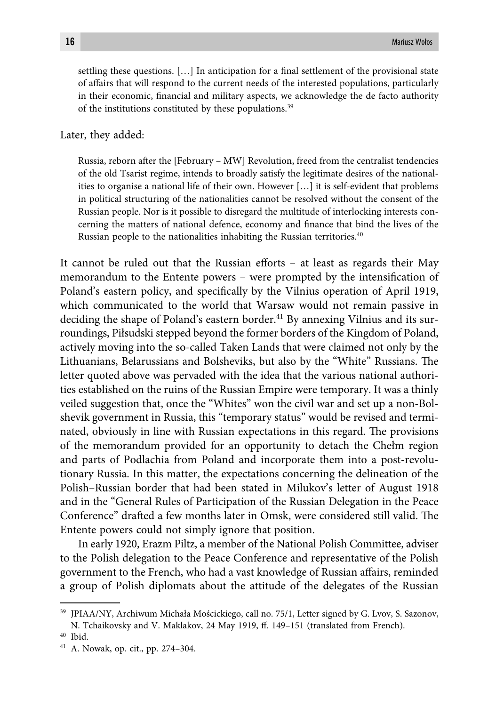settling these questions.  $[\dots]$  In anticipation for a final settlement of the provisional state of affairs that will respond to the current needs of the interested populations, particularly in their economic, financial and military aspects, we acknowledge the de facto authority of the institutions constituted by these populations.39

Later, they added:

Russia, reborn after the [February – MW] Revolution, freed from the centralist tendencies of the old Tsarist regime, intends to broadly satisfy the legitimate desires of the nationalities to organise a national life of their own. However […] it is self-evident that problems in political structuring of the nationalities cannot be resolved without the consent of the Russian people. Nor is it possible to disregard the multitude of interlocking interests concerning the matters of national defence, economy and finance that bind the lives of the Russian people to the nationalities inhabiting the Russian territories.<sup>40</sup>

It cannot be ruled out that the Russian efforts - at least as regards their May memorandum to the Entente powers – were prompted by the intensification of Poland's eastern policy, and specifically by the Vilnius operation of April 1919, which communicated to the world that Warsaw would not remain passive in deciding the shape of Poland's eastern border.<sup>41</sup> By annexing Vilnius and its surroundings, Piłsudski stepped beyond the former borders of the Kingdom of Poland, actively moving into the so-called Taken Lands that were claimed not only by the Lithuanians, Belarussians and Bolsheviks, but also by the "White" Russians. The letter quoted above was pervaded with the idea that the various national authorities established on the ruins of the Russian Empire were temporary. It was a thinly veiled suggestion that, once the "Whites" won the civil war and set up a non-Bolshevik government in Russia, this "temporary status" would be revised and terminated, obviously in line with Russian expectations in this regard. The provisions of the memorandum provided for an opportunity to detach the Chełm region and parts of Podlachia from Poland and incorporate them into a post-revolutionary Russia. In this matter, the expectations concerning the delineation of the Polish–Russian border that had been stated in Milukov's letter of August 1918 and in the "General Rules of Participation of the Russian Delegation in the Peace Conference" drafted a few months later in Omsk, were considered still valid. The Entente powers could not simply ignore that position.

In early 1920, Erazm Piltz, a member of the National Polish Committee, adviser to the Polish delegation to the Peace Conference and representative of the Polish government to the French, who had a vast knowledge of Russian affairs, reminded a group of Polish diplomats about the attitude of the delegates of the Russian

<sup>39</sup> JPIAA/NY, Archiwum Michała Mościckiego, call no. 75/1, Letter signed by G. Lvov, S. Sazonov, N. Tchaikovsky and V. Maklakov, 24 May 1919, ff . 149–151 (translated from French).

<sup>40</sup> Ibid.

<sup>41</sup> A. Nowak, op. cit., pp. 274–304.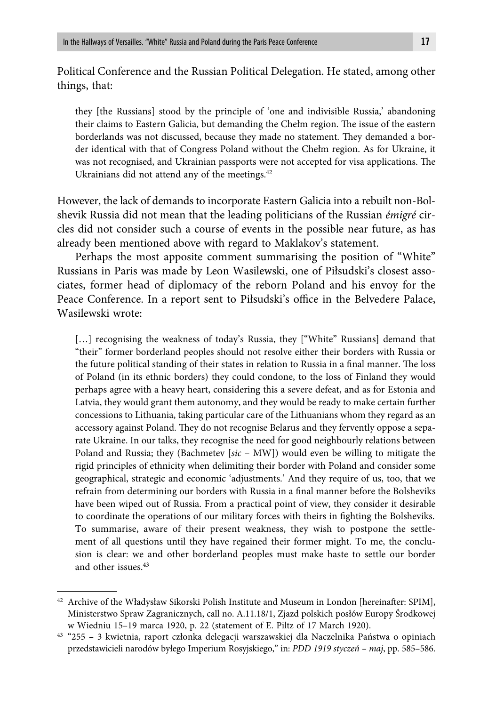Political Conference and the Russian Political Delegation. He stated, among other things, that:

they [the Russians] stood by the principle of 'one and indivisible Russia,' abandoning their claims to Eastern Galicia, but demanding the Chełm region. The issue of the eastern borderlands was not discussed, because they made no statement. They demanded a border identical with that of Congress Poland without the Chełm region. As for Ukraine, it was not recognised, and Ukrainian passports were not accepted for visa applications. The Ukrainians did not attend any of the meetings.<sup>42</sup>

However, the lack of demands to incorporate Eastern Galicia into a rebuilt non-Bolshevik Russia did not mean that the leading politicians of the Russian *émigré* circles did not consider such a course of events in the possible near future, as has already been mentioned above with regard to Maklakov's statement.

Perhaps the most apposite comment summarising the position of "White" Russians in Paris was made by Leon Wasilewski, one of Piłsudski's closest associates, former head of diplomacy of the reborn Poland and his envoy for the Peace Conference. In a report sent to Piłsudski's office in the Belvedere Palace, Wasilewski wrote:

[...] recognising the weakness of today's Russia, they ["White" Russians] demand that "their" former borderland peoples should not resolve either their borders with Russia or the future political standing of their states in relation to Russia in a final manner. The loss of Poland (in its ethnic borders) they could condone, to the loss of Finland they would perhaps agree with a heavy heart, considering this a severe defeat, and as for Estonia and Latvia, they would grant them autonomy, and they would be ready to make certain further concessions to Lithuania, taking particular care of the Lithuanians whom they regard as an accessory against Poland. They do not recognise Belarus and they fervently oppose a separate Ukraine. In our talks, they recognise the need for good neighbourly relations between Poland and Russia; they (Bachmetev [*sic* – MW]) would even be willing to mitigate the rigid principles of ethnicity when delimiting their border with Poland and consider some geographical, strategic and economic 'adjustments.' And they require of us, too, that we refrain from determining our borders with Russia in a final manner before the Bolsheviks have been wiped out of Russia. From a practical point of view, they consider it desirable to coordinate the operations of our military forces with theirs in fighting the Bolsheviks. To summarise, aware of their present weakness, they wish to postpone the settlement of all questions until they have regained their former might. To me, the conclusion is clear: we and other borderland peoples must make haste to settle our border and other issues.43

 $^{42}$  Archive of the Władysław Sikorski Polish Institute and Museum in London [hereinafter: SPIM], Ministerstwo Spraw Zagranicznych, call no. A.11.18/1, Zjazd polskich posłów Europy Środkowej w Wiedniu 15–19 marca 1920, p. 22 (statement of E. Piltz of 17 March 1920).

<sup>43 &</sup>quot;255 – 3 kwietnia, raport członka delegacji warszawskiej dla Naczelnika Państwa o opiniach przedstawicieli narodów byłego Imperium Rosyjskiego," in: *PDD 1919 styczeń – maj*, pp. 585–586.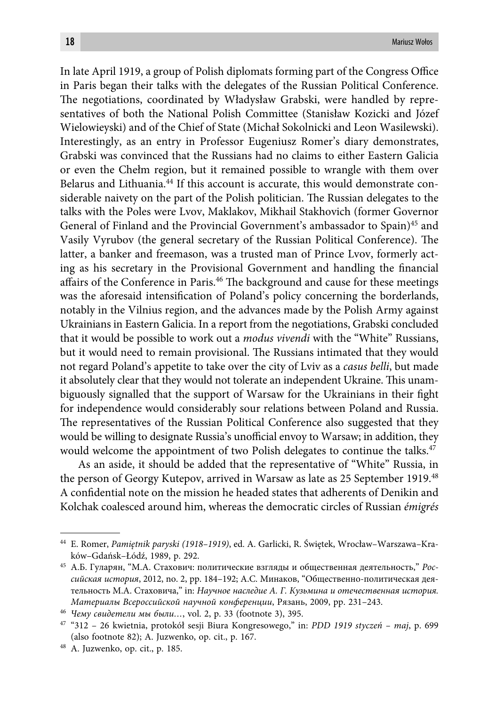In late April 1919, a group of Polish diplomats forming part of the Congress Office in Paris began their talks with the delegates of the Russian Political Conference. The negotiations, coordinated by Władysław Grabski, were handled by representatives of both the National Polish Committee (Stanisław Kozicki and Józef Wielowieyski) and of the Chief of State (Michał Sokolnicki and Leon Wasilewski). Interestingly, as an entry in Professor Eugeniusz Romer's diary demonstrates, Grabski was convinced that the Russians had no claims to either Eastern Galicia or even the Chełm region, but it remained possible to wrangle with them over Belarus and Lithuania.<sup>44</sup> If this account is accurate, this would demonstrate considerable naivety on the part of the Polish politician. The Russian delegates to the talks with the Poles were Lvov, Maklakov, Mikhail Stakhovich (former Governor General of Finland and the Provincial Government's ambassador to Spain)<sup>45</sup> and Vasily Vyrubov (the general secretary of the Russian Political Conference). The latter, a banker and freemason, was a trusted man of Prince Lvov, formerly acting as his secretary in the Provisional Government and handling the financial affairs of the Conference in Paris.<sup>46</sup> The background and cause for these meetings was the aforesaid intensification of Poland's policy concerning the borderlands, notably in the Vilnius region, and the advances made by the Polish Army against Ukrainians in Eastern Galicia. In a report from the negotiations, Grabski concluded that it would be possible to work out a *modus vivendi* with the "White" Russians, but it would need to remain provisional. The Russians intimated that they would not regard Poland's appetite to take over the city of Lviv as a *casus belli*, but made it absolutely clear that they would not tolerate an independent Ukraine. This unambiguously signalled that the support of Warsaw for the Ukrainians in their fight for independence would considerably sour relations between Poland and Russia. The representatives of the Russian Political Conference also suggested that they would be willing to designate Russia's unofficial envoy to Warsaw; in addition, they would welcome the appointment of two Polish delegates to continue the talks.<sup>47</sup>

As an aside, it should be added that the representative of "White" Russia, in the person of Georgy Kutepov, arrived in Warsaw as late as 25 September 1919.48 A confidential note on the mission he headed states that adherents of Denikin and Kolchak coalesced around him, whereas the democratic circles of Russian *émigrés*

<sup>44</sup> E. Romer, *Pamiętnik paryski (1918–1919)*, ed. A. Garlicki, R. Świętek, Wrocław–Warszawa–Kraków–Gdańsk–Łódź, 1989, p. 292.

<sup>45</sup> А.Б. Гуларян, "М.А. Стахович: политические взгляды и общественная деятельность," *Российская история*, 2012, no. 2, pp. 184–192; А.С. Минаков, "Общественно-политическая деятельность М.А. Стаховича," in: *Научное наследие А. Г. Кузьмина и отечественная история. Материалы Всероссийской научной конференции*, Рязань, 2009, pp. 231–243.

<sup>46</sup> *Чему свидетели мы были…*, vol. 2, p. 33 (footnote 3), 395.

<sup>47 &</sup>quot;312 – 26 kwietnia, protokół sesji Biura Kongresowego," in: *PDD 1919 styczeń – maj*, p. 699 (also footnote 82); A. Juzwenko, op. cit., p. 167.

<sup>48</sup> A. Juzwenko, op. cit., p. 185.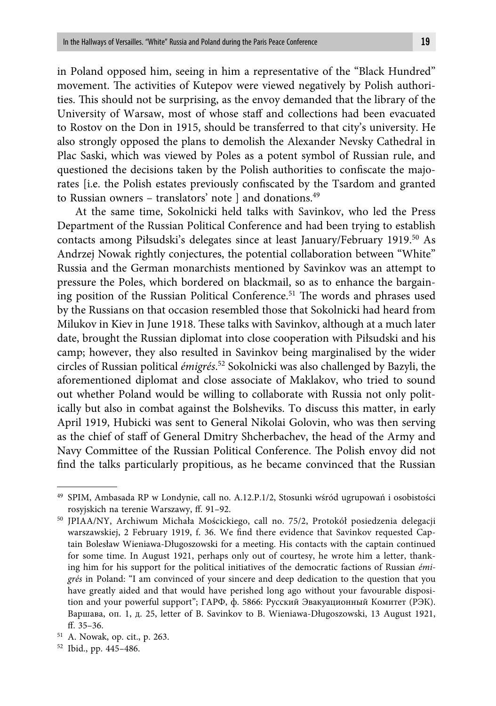in Poland opposed him, seeing in him a representative of the "Black Hundred" movement. The activities of Kutepov were viewed negatively by Polish authorities. This should not be surprising, as the envoy demanded that the library of the University of Warsaw, most of whose staff and collections had been evacuated to Rostov on the Don in 1915, should be transferred to that city's university. He also strongly opposed the plans to demolish the Alexander Nevsky Cathedral in Plac Saski, which was viewed by Poles as a potent symbol of Russian rule, and questioned the decisions taken by the Polish authorities to confiscate the majorates [i.e. the Polish estates previously confiscated by the Tsardom and granted to Russian owners – translators' note ] and donations.<sup>49</sup>

At the same time, Sokolnicki held talks with Savinkov, who led the Press Department of the Russian Political Conference and had been trying to establish contacts among Piłsudski's delegates since at least January/February 1919.50 As Andrzej Nowak rightly conjectures, the potential collaboration between "White" Russia and the German monarchists mentioned by Savinkov was an attempt to pressure the Poles, which bordered on blackmail, so as to enhance the bargaining position of the Russian Political Conference.<sup>51</sup> The words and phrases used by the Russians on that occasion resembled those that Sokolnicki had heard from Milukov in Kiev in June 1918. These talks with Savinkov, although at a much later date, brought the Russian diplomat into close cooperation with Piłsudski and his camp; however, they also resulted in Savinkov being marginalised by the wider circles of Russian political *émigrés*. 52 Sokolnicki was also challenged by Bazyli, the aforementioned diplomat and close associate of Maklakov, who tried to sound out whether Poland would be willing to collaborate with Russia not only politically but also in combat against the Bolsheviks. To discuss this matter, in early April 1919, Hubicki was sent to General Nikolai Golovin, who was then serving as the chief of staff of General Dmitry Shcherbachev, the head of the Army and Navy Committee of the Russian Political Conference. The Polish envoy did not find the talks particularly propitious, as he became convinced that the Russian

<sup>49</sup> SPIM, Ambasada RP w Londynie, call no. A.12.P.1/2, Stosunki wśród ugrupowań i osobistości rosyjskich na terenie Warszawy, ff. 91-92.

<sup>50</sup> JPIAA/NY, Archiwum Michała Mościckiego, call no. 75/2, Protokół posiedzenia delegacji warszawskiej, 2 February 1919, f. 36. We find there evidence that Savinkov requested Captain Bolesław Wieniawa-Długoszowski for a meeting. His contacts with the captain continued for some time. In August 1921, perhaps only out of courtesy, he wrote him a letter, thanking him for his support for the political initiatives of the democratic factions of Russian *émigrés* in Poland: "I am convinced of your sincere and deep dedication to the question that you have greatly aided and that would have perished long ago without your favourable disposition and your powerful support"; ГАРФ, ф. 5866: Русский Эвакуационный Комитет (РЭК). Варшава, оп. 1, д. 25, letter of B. Savinkov to B. Wieniawa-Długoszowski, 13 August 1921, ff.  $35-36$ .

<sup>51</sup> A. Nowak, op. cit., p. 263.

<sup>52</sup> Ibid., pp. 445–486.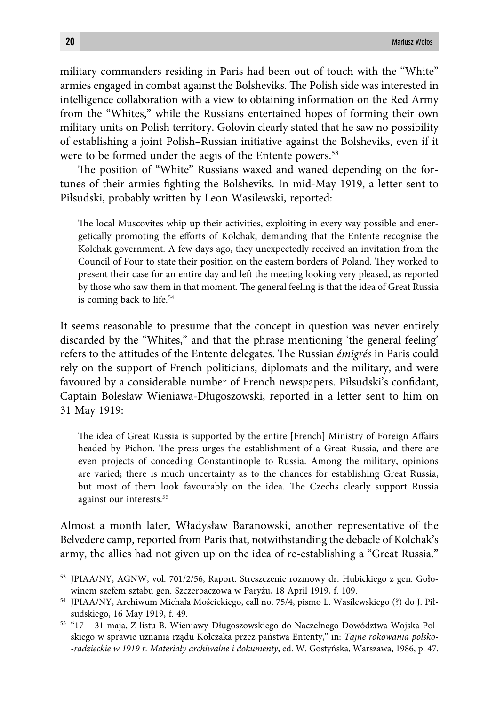military commanders residing in Paris had been out of touch with the "White" armies engaged in combat against the Bolsheviks. The Polish side was interested in intelligence collaboration with a view to obtaining information on the Red Army from the "Whites," while the Russians entertained hopes of forming their own military units on Polish territory. Golovin clearly stated that he saw no possibility of establishing a joint Polish–Russian initiative against the Bolsheviks, even if it were to be formed under the aegis of the Entente powers.<sup>53</sup>

The position of "White" Russians waxed and waned depending on the fortunes of their armies fighting the Bolsheviks. In mid-May 1919, a letter sent to Piłsudski, probably written by Leon Wasilewski, reported:

The local Muscovites whip up their activities, exploiting in every way possible and energetically promoting the efforts of Kolchak, demanding that the Entente recognise the Kolchak government. A few days ago, they unexpectedly received an invitation from the Council of Four to state their position on the eastern borders of Poland. They worked to present their case for an entire day and left the meeting looking very pleased, as reported by those who saw them in that moment. The general feeling is that the idea of Great Russia is coming back to life.<sup>54</sup>

It seems reasonable to presume that the concept in question was never entirely discarded by the "Whites," and that the phrase mentioning 'the general feeling' refers to the attitudes of the Entente delegates. The Russian *émigrés* in Paris could rely on the support of French politicians, diplomats and the military, and were favoured by a considerable number of French newspapers. Piłsudski's confidant, Captain Bolesław Wieniawa-Długoszowski, reported in a letter sent to him on 31 May 1919:

The idea of Great Russia is supported by the entire [French] Ministry of Foreign Affairs headed by Pichon. The press urges the establishment of a Great Russia, and there are even projects of conceding Constantinople to Russia. Among the military, opinions are varied; there is much uncertainty as to the chances for establishing Great Russia, but most of them look favourably on the idea. The Czechs clearly support Russia against our interests.55

Almost a month later, Władysław Baranowski, another representative of the Belvedere camp, reported from Paris that, notwithstanding the debacle of Kolchak's army, the allies had not given up on the idea of re-establishing a "Great Russia."

<sup>53</sup> JPIAA/NY, AGNW, vol. 701/2/56, Raport. Streszczenie rozmowy dr. Hubickiego z gen. Gołowinem szefem sztabu gen. Szczerbaczowa w Paryżu, 18 April 1919, f. 109.

<sup>54</sup> JPIAA/NY, Archiwum Michała Mościckiego, call no. 75/4, pismo L. Wasilewskiego (?) do J. Piłsudskiego, 16 May 1919, f. 49.

<sup>55 &</sup>quot;17 – 31 maja, Z listu B. Wieniawy-Długoszowskiego do Naczelnego Dowództwa Wojska Polskiego w sprawie uznania rządu Kołczaka przez państwa Ententy," in: *Tajne rokowania polsko- -radzieckie w 1919 r. Materiały archiwalne i dokumenty*, ed. W. Gostyńska, Warszawa, 1986, p. 47.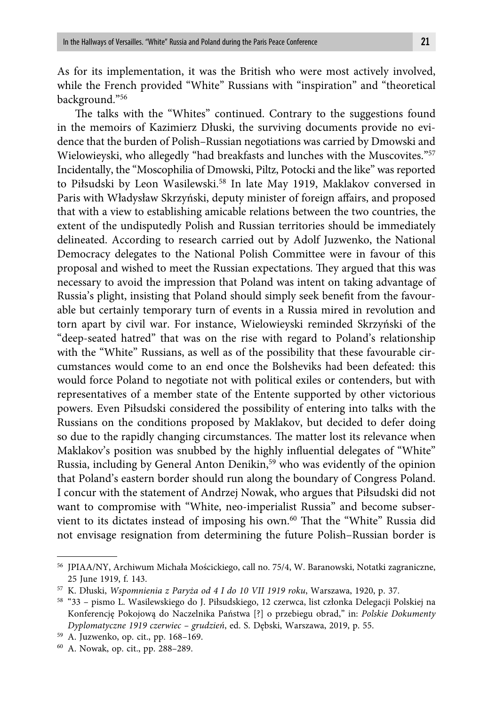As for its implementation, it was the British who were most actively involved, while the French provided "White" Russians with "inspiration" and "theoretical background."56

The talks with the "Whites" continued. Contrary to the suggestions found in the memoirs of Kazimierz Dłuski, the surviving documents provide no evidence that the burden of Polish–Russian negotiations was carried by Dmowski and Wielowieyski, who allegedly "had breakfasts and lunches with the Muscovites."57 Incidentally, the "Moscophilia of Dmowski, Piltz, Potocki and the like" was reported to Piłsudski by Leon Wasilewski.<sup>58</sup> In late May 1919, Maklakov conversed in Paris with Władysław Skrzyński, deputy minister of foreign affairs, and proposed that with a view to establishing amicable relations between the two countries, the extent of the undisputedly Polish and Russian territories should be immediately delineated. According to research carried out by Adolf Juzwenko, the National Democracy delegates to the National Polish Committee were in favour of this proposal and wished to meet the Russian expectations. They argued that this was necessary to avoid the impression that Poland was intent on taking advantage of Russia's plight, insisting that Poland should simply seek benefit from the favourable but certainly temporary turn of events in a Russia mired in revolution and torn apart by civil war. For instance, Wielowieyski reminded Skrzyński of the "deep-seated hatred" that was on the rise with regard to Poland's relationship with the "White" Russians, as well as of the possibility that these favourable circumstances would come to an end once the Bolsheviks had been defeated: this would force Poland to negotiate not with political exiles or contenders, but with representatives of a member state of the Entente supported by other victorious powers. Even Piłsudski considered the possibility of entering into talks with the Russians on the conditions proposed by Maklakov, but decided to defer doing so due to the rapidly changing circumstances. The matter lost its relevance when Maklakov's position was snubbed by the highly influential delegates of "White" Russia, including by General Anton Denikin,<sup>59</sup> who was evidently of the opinion that Poland's eastern border should run along the boundary of Congress Poland. I concur with the statement of Andrzej Nowak, who argues that Piłsudski did not want to compromise with "White, neo-imperialist Russia" and become subservient to its dictates instead of imposing his own.<sup>60</sup> That the "White" Russia did not envisage resignation from determining the future Polish–Russian border is

<sup>56</sup> JPIAA/NY, Archiwum Michała Mościckiego, call no. 75/4, W. Baranowski, Notatki zagraniczne, 25 June 1919, f. 143.

<sup>57</sup> K. Dłuski, *Wspomnienia z Paryża od 4 I do 10 VII 1919 roku*, Warszawa, 1920, p. 37.

<sup>58 &</sup>quot;33 – pismo L. Wasilewskiego do J. Piłsudskiego, 12 czerwca, list członka Delegacji Polskiej na Konferencję Pokojową do Naczelnika Państwa [?] o przebiegu obrad," in: *Polskie Dokumenty Dyplomatyczne 1919 czerwiec – grudzień*, ed. S. Dębski, Warszawa, 2019, p. 55.

<sup>59</sup> A. Juzwenko, op. cit., pp. 168–169.

<sup>60</sup> A. Nowak, op. cit., pp. 288–289.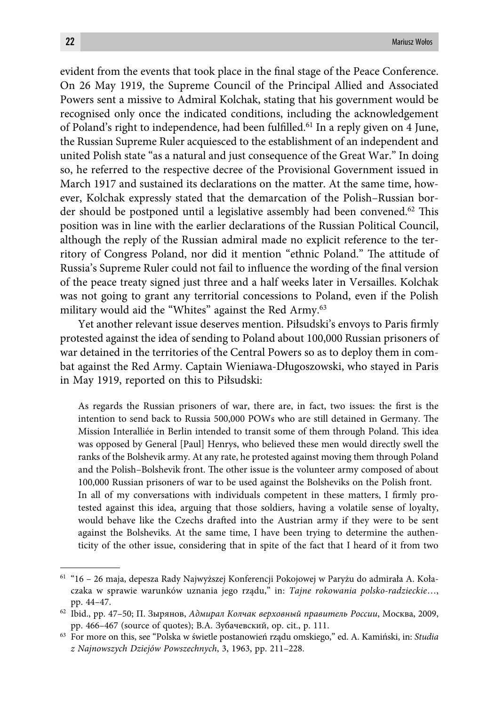evident from the events that took place in the final stage of the Peace Conference. On 26 May 1919, the Supreme Council of the Principal Allied and Associated Powers sent a missive to Admiral Kolchak, stating that his government would be recognised only once the indicated conditions, including the acknowledgement of Poland's right to independence, had been fulfilled.<sup>61</sup> In a reply given on 4 June, the Russian Supreme Ruler acquiesced to the establishment of an independent and united Polish state "as a natural and just consequence of the Great War." In doing so, he referred to the respective decree of the Provisional Government issued in March 1917 and sustained its declarations on the matter. At the same time, however, Kolchak expressly stated that the demarcation of the Polish–Russian border should be postponed until a legislative assembly had been convened.<sup>62</sup> This position was in line with the earlier declarations of the Russian Political Council, although the reply of the Russian admiral made no explicit reference to the territory of Congress Poland, nor did it mention "ethnic Poland." The attitude of Russia's Supreme Ruler could not fail to influence the wording of the final version of the peace treaty signed just three and a half weeks later in Versailles. Kolchak was not going to grant any territorial concessions to Poland, even if the Polish military would aid the "Whites" against the Red Army.<sup>63</sup>

Yet another relevant issue deserves mention. Piłsudski's envoys to Paris firmly protested against the idea of sending to Poland about 100,000 Russian prisoners of war detained in the territories of the Central Powers so as to deploy them in combat against the Red Army. Captain Wieniawa-Długoszowski, who stayed in Paris in May 1919, reported on this to Piłsudski:

As regards the Russian prisoners of war, there are, in fact, two issues: the first is the intention to send back to Russia 500,000 POWs who are still detained in Germany. The Mission Interalliée in Berlin intended to transit some of them through Poland. This idea was opposed by General [Paul] Henrys, who believed these men would directly swell the ranks of the Bolshevik army. At any rate, he protested against moving them through Poland and the Polish–Bolshevik front. The other issue is the volunteer army composed of about 100,000 Russian prisoners of war to be used against the Bolsheviks on the Polish front. In all of my conversations with individuals competent in these matters, I firmly protested against this idea, arguing that those soldiers, having a volatile sense of loyalty, would behave like the Czechs drafted into the Austrian army if they were to be sent against the Bolsheviks. At the same time, I have been trying to determine the authenticity of the other issue, considering that in spite of the fact that I heard of it from two

<sup>61 &</sup>quot;16 – 26 maja, depesza Rady Najwyższej Konferencji Pokojowej w Paryżu do admirała A. Kołaczaka w sprawie warunków uznania jego rządu," in: *Tajne rokowania polsko-radzieckie*…, pp. 44–47.

<sup>62</sup> Ibid., pp. 47–50; П. Зырянов, *Адмирал Колчак верховный правитель России*, Москва, 2009, pp. 466–467 (source of quotes); В.А. Зубачевский, op. cit., p. 111.

<sup>63</sup> For more on this, see "Polska w świetle postanowień rządu omskiego," ed. A. Kamiński, in: *Studia z Najnowszych Dziejów Powszechnych*, 3, 1963, pp. 211–228.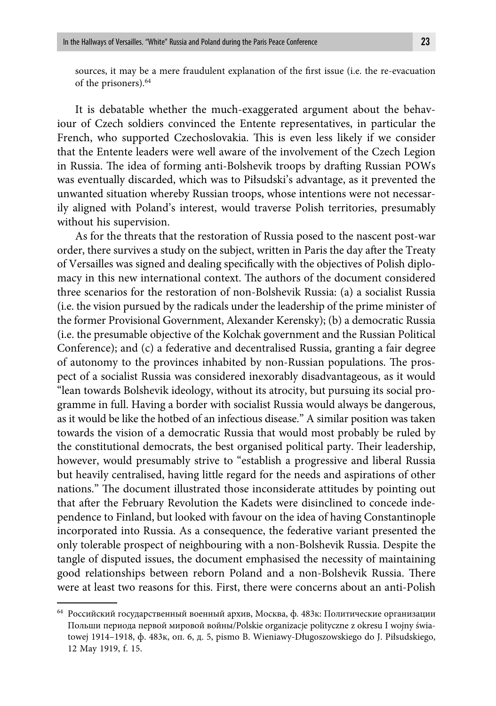sources, it may be a mere fraudulent explanation of the first issue (i.e. the re-evacuation of the prisoners).64

It is debatable whether the much-exaggerated argument about the behaviour of Czech soldiers convinced the Entente representatives, in particular the French, who supported Czechoslovakia. This is even less likely if we consider that the Entente leaders were well aware of the involvement of the Czech Legion in Russia. The idea of forming anti-Bolshevik troops by drafting Russian POWs was eventually discarded, which was to Piłsudski's advantage, as it prevented the unwanted situation whereby Russian troops, whose intentions were not necessarily aligned with Poland's interest, would traverse Polish territories, presumably without his supervision.

As for the threats that the restoration of Russia posed to the nascent post-war order, there survives a study on the subject, written in Paris the day after the Treaty of Versailles was signed and dealing specifically with the objectives of Polish diplomacy in this new international context. The authors of the document considered three scenarios for the restoration of non-Bolshevik Russia: (a) a socialist Russia (i.e. the vision pursued by the radicals under the leadership of the prime minister of the former Provisional Government, Alexander Kerensky); (b) a democratic Russia (i.e. the presumable objective of the Kolchak government and the Russian Political Conference); and (c) a federative and decentralised Russia, granting a fair degree of autonomy to the provinces inhabited by non-Russian populations. The prospect of a socialist Russia was considered inexorably disadvantageous, as it would "lean towards Bolshevik ideology, without its atrocity, but pursuing its social programme in full. Having a border with socialist Russia would always be dangerous, as it would be like the hotbed of an infectious disease." A similar position was taken towards the vision of a democratic Russia that would most probably be ruled by the constitutional democrats, the best organised political party. Their leadership, however, would presumably strive to "establish a progressive and liberal Russia but heavily centralised, having little regard for the needs and aspirations of other nations." The document illustrated those inconsiderate attitudes by pointing out that after the February Revolution the Kadets were disinclined to concede independence to Finland, but looked with favour on the idea of having Constantinople incorporated into Russia. As a consequence, the federative variant presented the only tolerable prospect of neighbouring with a non-Bolshevik Russia. Despite the tangle of disputed issues, the document emphasised the necessity of maintaining good relationships between reborn Poland and a non-Bolshevik Russia. There were at least two reasons for this. First, there were concerns about an anti-Polish

<sup>64</sup> Российский государственный военный архив, Москва, ф. 483к: Политические организации Польши периода первой мировой войны/Polskie organizacje polityczne z okresu I wojny światowej 1914–1918, ф. 483к, оп. 6, д. 5, pismo B. Wieniawy-Długoszowskiego do J. Piłsudskiego, 12 May 1919, f. 15.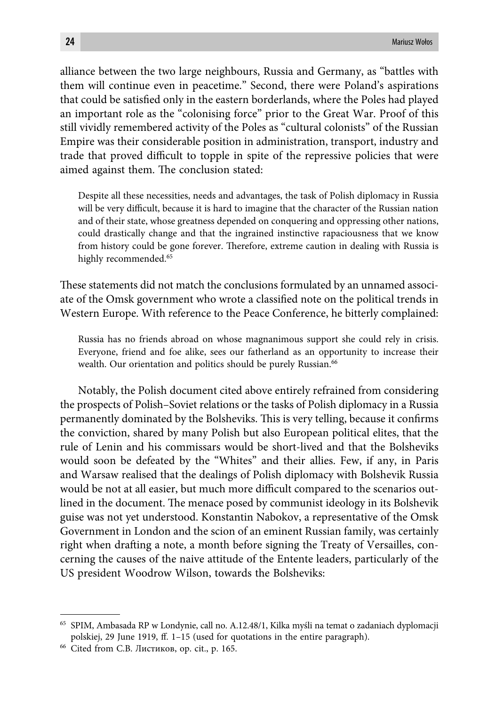alliance between the two large neighbours, Russia and Germany, as "battles with them will continue even in peacetime." Second, there were Poland's aspirations that could be satisfied only in the eastern borderlands, where the Poles had played an important role as the "colonising force" prior to the Great War. Proof of this still vividly remembered activity of the Poles as "cultural colonists" of the Russian Empire was their considerable position in administration, transport, industry and trade that proved difficult to topple in spite of the repressive policies that were aimed against them. The conclusion stated:

Despite all these necessities, needs and advantages, the task of Polish diplomacy in Russia will be very difficult, because it is hard to imagine that the character of the Russian nation and of their state, whose greatness depended on conquering and oppressing other nations, could drastically change and that the ingrained instinctive rapaciousness that we know from history could be gone forever. Therefore, extreme caution in dealing with Russia is highly recommended.<sup>65</sup>

These statements did not match the conclusions formulated by an unnamed associ-ate of the Omsk government who wrote a classified note on the political trends in Western Europe. With reference to the Peace Conference, he bitterly complained:

Russia has no friends abroad on whose magnanimous support she could rely in crisis. Everyone, friend and foe alike, sees our fatherland as an opportunity to increase their wealth. Our orientation and politics should be purely Russian.<sup>66</sup>

Notably, the Polish document cited above entirely refrained from considering the prospects of Polish–Soviet relations or the tasks of Polish diplomacy in a Russia permanently dominated by the Bolsheviks. This is very telling, because it confirms the conviction, shared by many Polish but also European political elites, that the rule of Lenin and his commissars would be short-lived and that the Bolsheviks would soon be defeated by the "Whites" and their allies. Few, if any, in Paris and Warsaw realised that the dealings of Polish diplomacy with Bolshevik Russia would be not at all easier, but much more difficult compared to the scenarios outlined in the document. The menace posed by communist ideology in its Bolshevik guise was not yet understood. Konstantin Nabokov, a representative of the Omsk Government in London and the scion of an eminent Russian family, was certainly right when drafting a note, a month before signing the Treaty of Versailles, concerning the causes of the naive attitude of the Entente leaders, particularly of the US president Woodrow Wilson, towards the Bolsheviks:

<sup>65</sup> SPIM, Ambasada RP w Londynie, call no. A.12.48/1, Kilka myśli na temat o zadaniach dyplomacji polskiej, 29 June 1919, ff. 1-15 (used for quotations in the entire paragraph).

<sup>66</sup> Cited from С.В. Листиков, op. cit., p. 165.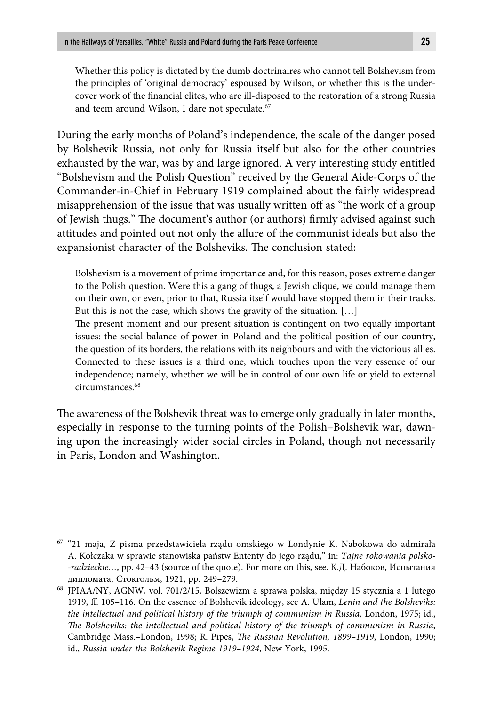Whether this policy is dictated by the dumb doctrinaires who cannot tell Bolshevism from the principles of 'original democracy' espoused by Wilson, or whether this is the undercover work of the financial elites, who are ill-disposed to the restoration of a strong Russia and teem around Wilson, I dare not speculate.<sup>67</sup>

During the early months of Poland's independence, the scale of the danger posed by Bolshevik Russia, not only for Russia itself but also for the other countries exhausted by the war, was by and large ignored. A very interesting study entitled "Bolshevism and the Polish Question" received by the General Aide-Corps of the Commander-in-Chief in February 1919 complained about the fairly widespread misapprehension of the issue that was usually written off as "the work of a group of Jewish thugs." The document's author (or authors) firmly advised against such attitudes and pointed out not only the allure of the communist ideals but also the expansionist character of the Bolsheviks. The conclusion stated:

Bolshevism is a movement of prime importance and, for this reason, poses extreme danger to the Polish question. Were this a gang of thugs, a Jewish clique, we could manage them on their own, or even, prior to that, Russia itself would have stopped them in their tracks. But this is not the case, which shows the gravity of the situation. […]

The present moment and our present situation is contingent on two equally important issues: the social balance of power in Poland and the political position of our country, the question of its borders, the relations with its neighbours and with the victorious allies. Connected to these issues is a third one, which touches upon the very essence of our independence; namely, whether we will be in control of our own life or yield to external circumstances.<sup>68</sup>

The awareness of the Bolshevik threat was to emerge only gradually in later months, especially in response to the turning points of the Polish–Bolshevik war, dawning upon the increasingly wider social circles in Poland, though not necessarily in Paris, London and Washington.

<sup>67 &</sup>quot;21 maja, Z pisma przedstawiciela rządu omskiego w Londynie K. Nabokowa do admirała A. Kołczaka w sprawie stanowiska państw Ententy do jego rządu," in: *Tajne rokowania polsko- -radzieckie…*, pp. 42–43 (source of the quote). For more on this, see. К.Д. Набоков, Испытания дипломата, Стокгольм, 1921, pp. 249–279.

<sup>68</sup> JPIAA/NY, AGNW, vol. 701/2/15, Bolszewizm a sprawa polska, między 15 stycznia a 1 lutego 1919, ff . 105–116. On the essence of Bolshevik ideology, see A. Ulam, *Lenin and the Bolsheviks: the intellectual and political history of the triumph of communism in Russia,* London, 1975; id., *The Bolsheviks: the intellectual and political history of the triumph of communism in Russia,* Cambridge Mass.-London, 1998; R. Pipes, *The Russian Revolution, 1899-1919*, London, 1990; id., *Russia under the Bolshevik Regime 1919–1924*, New York, 1995.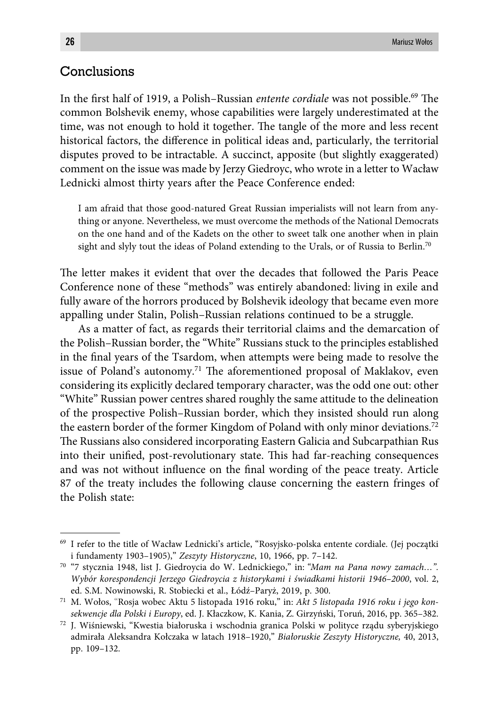# **Conclusions**

In the first half of 1919, a Polish–Russian *entente cordiale* was not possible.<sup>69</sup> The common Bolshevik enemy, whose capabilities were largely underestimated at the time, was not enough to hold it together. The tangle of the more and less recent historical factors, the difference in political ideas and, particularly, the territorial disputes proved to be intractable. A succinct, apposite (but slightly exaggerated) comment on the issue was made by Jerzy Giedroyc, who wrote in a letter to Wacław Lednicki almost thirty years after the Peace Conference ended:

I am afraid that those good-natured Great Russian imperialists will not learn from anything or anyone. Nevertheless, we must overcome the methods of the National Democrats on the one hand and of the Kadets on the other to sweet talk one another when in plain sight and slyly tout the ideas of Poland extending to the Urals, or of Russia to Berlin.<sup>70</sup>

The letter makes it evident that over the decades that followed the Paris Peace Conference none of these "methods" was entirely abandoned: living in exile and fully aware of the horrors produced by Bolshevik ideology that became even more appalling under Stalin, Polish–Russian relations continued to be a struggle.

As a matter of fact, as regards their territorial claims and the demarcation of the Polish–Russian border, the "White" Russians stuck to the principles established in the final years of the Tsardom, when attempts were being made to resolve the issue of Poland's autonomy.<sup>71</sup> The aforementioned proposal of Maklakov, even considering its explicitly declared temporary character, was the odd one out: other "White" Russian power centres shared roughly the same attitude to the delineation of the prospective Polish–Russian border, which they insisted should run along the eastern border of the former Kingdom of Poland with only minor deviations.<sup>72</sup> The Russians also considered incorporating Eastern Galicia and Subcarpathian Rus into their unified, post-revolutionary state. This had far-reaching consequences and was not without influence on the final wording of the peace treaty. Article 87 of the treaty includes the following clause concerning the eastern fringes of the Polish state:

<sup>69</sup> I refer to the title of Wacław Lednicki's article, "Rosyjsko-polska entente cordiale. (Jej początki i fundamenty 1903–1905)," *Zeszyty Historyczne*, 10, 1966, pp. 7–142.

<sup>70 &</sup>quot;7 stycznia 1948, list J. Giedroycia do W. Lednickiego," in: *"Mam na Pana nowy zamach…". Wybór korespondencji Jerzego Giedroycia z historykami i świadkami historii 1946–2000*, vol. 2, ed. S.M. Nowinowski, R. Stobiecki et al., Łódź–Paryż, 2019, p. 300.

<sup>71</sup> M. Wołos, "Rosja wobec Aktu 5 listopada 1916 roku," in: *Akt 5 listopada 1916 roku i jego konsekwencje dla Polski i Europy*, ed. J. Kłaczkow, K. Kania, Z. Girzyński, Toruń, 2016, pp. 365–382.

<sup>72</sup> J. Wiśniewski, "Kwestia białoruska i wschodnia granica Polski w polityce rządu syberyjskiego admirała Aleksandra Kołczaka w latach 1918–1920," *Białoruskie Zeszyty Historyczne,* 40, 2013, pp. 109–132.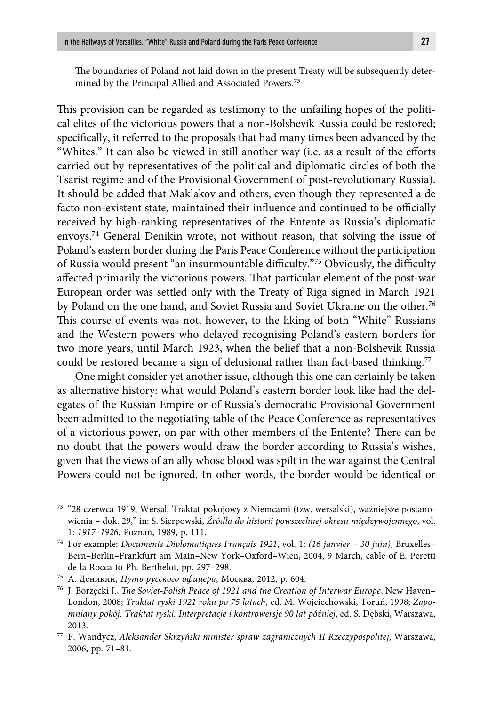The boundaries of Poland not laid down in the present Treaty will be subsequently determined by the Principal Allied and Associated Powers.73

This provision can be regarded as testimony to the unfailing hopes of the political elites of the victorious powers that a non-Bolshevik Russia could be restored; specifically, it referred to the proposals that had many times been advanced by the "Whites." It can also be viewed in still another way (i.e. as a result of the efforts carried out by representatives of the political and diplomatic circles of both the Tsarist regime and of the Provisional Government of post-revolutionary Russia). It should be added that Maklakov and others, even though they represented a de facto non-existent state, maintained their influence and continued to be officially received by high-ranking representatives of the Entente as Russia's diplomatic envoys.74 General Denikin wrote, not without reason, that solving the issue of Poland's eastern border during the Paris Peace Conference without the participation of Russia would present "an insurmountable difficulty."<sup>75</sup> Obviously, the difficulty affected primarily the victorious powers. That particular element of the post-war European order was settled only with the Treaty of Riga signed in March 1921 by Poland on the one hand, and Soviet Russia and Soviet Ukraine on the other.<sup>76</sup> This course of events was not, however, to the liking of both "White" Russians and the Western powers who delayed recognising Poland's eastern borders for two more years, until March 1923, when the belief that a non-Bolshevik Russia could be restored became a sign of delusional rather than fact-based thinking.<sup>77</sup>

One might consider yet another issue, although this one can certainly be taken as alternative history: what would Poland's eastern border look like had the delegates of the Russian Empire or of Russia's democratic Provisional Government been admitted to the negotiating table of the Peace Conference as representatives of a victorious power, on par with other members of the Entente? There can be no doubt that the powers would draw the border according to Russia's wishes, given that the views of an ally whose blood was spilt in the war against the Central Powers could not be ignored. In other words, the border would be identical or

<sup>73 &</sup>quot;28 czerwca 1919, Wersal, Traktat pokojowy z Niemcami (tzw. wersalski), ważniejsze postanowienia – dok. 29," in: S. Sierpowski, *Źródła do historii powszechnej okresu międzywojennego*, vol. 1: *1917–1926*, Poznań, 1989, p. 111.

<sup>74</sup> For example: *Documents Diplomatiques Français 1921*, vol. 1: *(16 janvier – 30 juin)*, Bruxelles– Bern–Berlin–Frankfurt am Main–New York–Oxford–Wien, 2004, 9 March, cable of E. Peretti de la Rocca to Ph. Berthelot, pp. 297–298.

<sup>75</sup> А. Деникин, *Путь русского офицера*, Москва, 2012, p. 604.

<sup>&</sup>lt;sup>76</sup> J. Borzęcki J., *The Soviet-Polish Peace of 1921 and the Creation of Interwar Europe*, New Haven– London, 2008; *Traktat ryski 1921 roku po 75 latach*, ed. M. Wojciechowski, Toruń, 1998; *Zapomniany pokój. Traktat ryski. Interpretacje i kontrowersje 90 lat później*, ed. S. Dębski, Warszawa, 2013.

<sup>77</sup> P. Wandycz, *Aleksander Skrzyński minister spraw zagranicznych II Rzeczypospolitej*, Warszawa, 2006, pp. 71–81.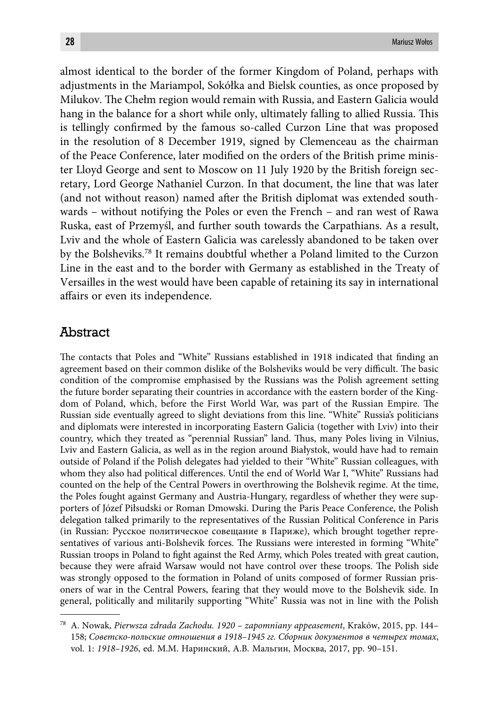almost identical to the border of the former Kingdom of Poland, perhaps with adjustments in the Mariampol, Sokółka and Bielsk counties, as once proposed by Milukov. The Chełm region would remain with Russia, and Eastern Galicia would hang in the balance for a short while only, ultimately falling to allied Russia. This is tellingly confirmed by the famous so-called Curzon Line that was proposed in the resolution of 8 December 1919, signed by Clemenceau as the chairman of the Peace Conference, later modified on the orders of the British prime minister Lloyd George and sent to Moscow on 11 July 1920 by the British foreign secretary, Lord George Nathaniel Curzon. In that document, the line that was later (and not without reason) named after the British diplomat was extended southwards – without notifying the Poles or even the French – and ran west of Rawa Ruska, east of Przemyśl, and further south towards the Carpathians. As a result, Lviv and the whole of Eastern Galicia was carelessly abandoned to be taken over by the Bolsheviks.78 It remains doubtful whether a Poland limited to the Curzon Line in the east and to the border with Germany as established in the Treaty of Versailles in the west would have been capable of retaining its say in international affairs or even its independence.

#### Abstract

The contacts that Poles and "White" Russians established in 1918 indicated that finding an agreement based on their common dislike of the Bolsheviks would be very difficult. The basic condition of the compromise emphasised by the Russians was the Polish agreement setting the future border separating their countries in accordance with the eastern border of the Kingdom of Poland, which, before the First World War, was part of the Russian Empire. The Russian side eventually agreed to slight deviations from this line. "White" Russia's politicians and diplomats were interested in incorporating Eastern Galicia (together with Lviv) into their country, which they treated as "perennial Russian" land. Thus, many Poles living in Vilnius, Lviv and Eastern Galicia, as well as in the region around Białystok, would have had to remain outside of Poland if the Polish delegates had yielded to their "White" Russian colleagues, with whom they also had political differences. Until the end of World War I, "White" Russians had counted on the help of the Central Powers in overthrowing the Bolshevik regime. At the time, the Poles fought against Germany and Austria-Hungary, regardless of whether they were supporters of Józef Piłsudski or Roman Dmowski. During the Paris Peace Conference, the Polish delegation talked primarily to the representatives of the Russian Political Conference in Paris (in Russian: Русское политическое совещание в Париже), which brought together representatives of various anti-Bolshevik forces. The Russians were interested in forming "White" Russian troops in Poland to fight against the Red Army, which Poles treated with great caution, because they were afraid Warsaw would not have control over these troops. The Polish side was strongly opposed to the formation in Poland of units composed of former Russian prisoners of war in the Central Powers, fearing that they would move to the Bolshevik side. In general, politically and militarily supporting "White" Russia was not in line with the Polish

<sup>78</sup> A. Nowak, *Pierwsza zdrada Zachodu. 1920 – zapomniany appeasement*, Kraków, 2015, pp. 144– 158; *Советско-польские отношения в 1918–1945 гг. Сборник документов в четырех томах*, vol. 1: *1918–1926*, ed. М.М. Наринский, А.В. Мальгин, Москва, 2017, pp. 90–151.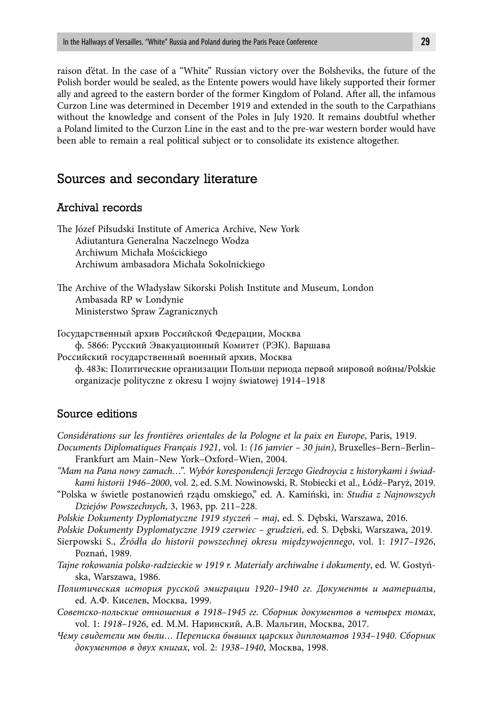raison d'état. In the case of a "White" Russian victory over the Bolsheviks, the future of the Polish border would be sealed, as the Entente powers would have likely supported their former ally and agreed to the eastern border of the former Kingdom of Poland. After all, the infamous Curzon Line was determined in December 1919 and extended in the south to the Carpathians without the knowledge and consent of the Poles in July 1920. It remains doubtful whether a Poland limited to the Curzon Line in the east and to the pre-war western border would have been able to remain a real political subject or to consolidate its existence altogether.

#### Sources and secondary literature

#### Archival records

The Józef Piłsudski Institute of America Archive, New York Adiutantura Generalna Naczelnego Wodza Archiwum Michała Mościckiego Archiwum ambasadora Michała Sokolnickiego

The Archive of the Władysław Sikorski Polish Institute and Museum, London Ambasada RP w Londynie Ministerstwo Spraw Zagranicznych

Государственный архив Российской Федерации, Москва ф. 5866: Русский Эвакуационный Комитет (РЭК). Варшава Российский государственный военный архив, Москва ф. 483к: Политические организации Польши периода первой мировой войны/Polskie organizacje polityczne z okresu I wojny światowej 1914–1918

#### Source editions

*Considérations sur les frontières orientales de la Pologne et la paix en Europe*, Paris, 1919.

- *Documents Diplomatiques Français 1921*, vol. 1: *(16 janvier 30 juin)*, Bruxelles–Bern–Berlin– Frankfurt am Main–New York–Oxford–Wien, 2004.
- *"Mam na Pana nowy zamach…". Wybór korespondencji Jerzego Giedroycia z historykami i świadkami historii 1946–2000*, vol. 2, ed. S.M. Nowinowski, R. Stobiecki et al., Łódź–Paryż, 2019.
- "Polska w świetle postanowień rządu omskiego," ed. A. Kamiński, in: *Studia z Najnowszych Dziejów Powszechnych*, 3, 1963, pp. 211–228.
- *Polskie Dokumenty Dyplomatyczne 1919 styczeń maj*, ed. S. Dębski, Warszawa, 2016.

*Polskie Dokumenty Dyplomatyczne 1919 czerwiec – grudzień*, ed. S. Dębski, Warszawa, 2019.

- Sierpowski S., *Źródła do historii powszechnej okresu międzywojennego*, vol. 1: *1917–1926*, Poznań, 1989.
- *Tajne rokowania polsko-radzieckie w 1919 r. Materiały archiwalne i dokumenty*, ed. W. Gostyńska, Warszawa, 1986.
- *Политическая история русской эмиграции 1920–1940 гг. Документы и материа*лы, ed. А.Ф. Киселев, Москва, 1999.
- *Советско-польские отношения в 1918–1945 гг. Сборник документов в четырех томах*, vol. 1: *1918–1926*, ed. М.М. Наринский, А.В. Мальгин, Москва, 2017.
- *Чему свидетели мы были… Переписка бывших царских дипломатов 1934–1940. Сборник документов в двух книгах*, vol. 2: *1938–1940*, Москва, 1998.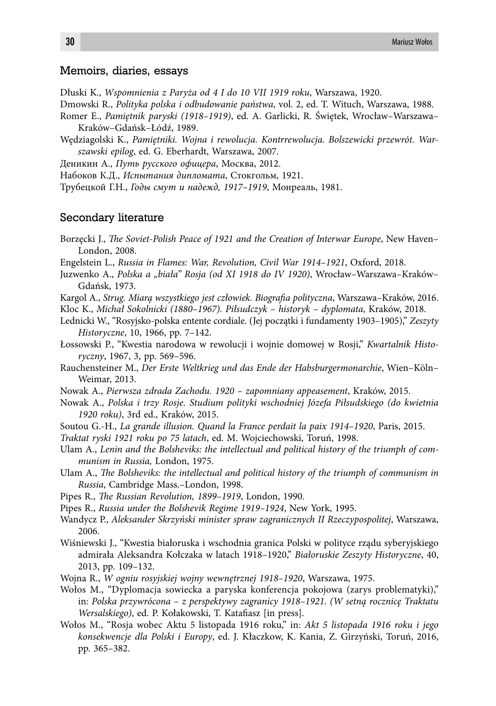#### Memoirs, diaries, essays

- Dłuski K., *Wspomnienia z Paryża od 4 I do 10 VII 1919 roku*, Warszawa, 1920.
- Dmowski R., *Polityka polska i odbudowanie państwa*, vol. 2, ed. T. Wituch, Warszawa, 1988.
- Romer E., *Pamiętnik paryski (1918–1919)*, ed. A. Garlicki, R. Świętek, Wrocław–Warszawa– Kraków–Gdańsk–Łódź, 1989.
- Wędziagolski K., *Pamiętniki. Wojna i rewolucja. Kontrrewolucja. Bolszewicki przewrót. Warszawski epilog*, ed. G. Eberhardt, Warszawa, 2007.
- Деникин А., *Путь русского офицера*, Москва, 2012.
- Набоков К.Д., *Испытания дипломата*, Стокгольм, 1921.
- Трубецкой Г.Н., *Годы смут и надежд, 1917–1919*, Монреаль, 1981.

#### Secondary literature

- Borzecki J., *The Soviet-Polish Peace of 1921 and the Creation of Interwar Europe*, New Haven– London, 2008.
- Engelstein L., *Russia in Flames: War, Revolution, Civil War 1914–1921*, Oxford, 2018.
- Juzwenko A., *Polska a "biała" Rosja (od XI 1918 do IV 1920)*, Wrocław–Warszawa–Kraków– Gdańsk, 1973.
- Kargol A., *Strug. Miarą wszystkiego jest człowiek. Biografi a polityczna*, Warszawa–Kraków, 2016. Kloc K., *Michał Sokolnicki (1880–1967). Piłsudczyk – historyk – dyplomata*, Kraków, 2018.
- Lednicki W., "Rosyjsko-polska entente cordiale. (Jej początki i fundamenty 1903–1905)," *Zeszyty Historyczne*, 10, 1966, pp. 7–142.
- Łossowski P., "Kwestia narodowa w rewolucji i wojnie domowej w Rosji," *Kwartalnik Historyczny*, 1967, 3, pp. 569–596.
- Rauchensteiner M., *Der Erste Weltkrieg und das Ende der Habsburgermonarchie*, Wien–Köln– Weimar, 2013.
- Nowak A., *Pierwsza zdrada Zachodu. 1920 zapomniany appeasement*, Kraków, 2015.
- Nowak A., *Polska i trzy Rosje. Studium polityki wschodniej Józefa Piłsudskiego (do kwietnia 1920 roku)*, 3rd ed., Kraków, 2015.
- Soutou G.-H., *La grande illusion. Quand la France perdait la paix 1914–1920*, Paris, 2015.
- *Traktat ryski 1921 roku po 75 latach*, ed. M. Wojciechowski, Toruń, 1998.
- Ulam A., *Lenin and the Bolsheviks: the intellectual and political history of the triumph of communism in Russia,* London, 1975.
- Ulam A., *The Bolsheviks: the intellectual and political history of the triumph of communism in Russia*, Cambridge Mass.–London, 1998.
- Pipes R., *The Russian Revolution, 1899-1919*, London, 1990.
- Pipes R., *Russia under the Bolshevik Regime 1919–1924*, New York, 1995.
- Wandycz P., *Aleksander Skrzyński minister spraw zagranicznych II Rzeczypospolitej*, Warszawa, 2006.
- Wiśniewski J., "Kwestia białoruska i wschodnia granica Polski w polityce rządu syberyjskiego admirała Aleksandra Kołczaka w latach 1918–1920," *Białoruskie Zeszyty Historyczne*, 40, 2013, pp. 109–132.
- Wojna R., *W ogniu rosyjskiej wojny wewnętrznej 1918–1920*, Warszawa, 1975.
- Wołos M., "Dyplomacja sowiecka a paryska konferencja pokojowa (zarys problematyki)," in: *Polska przywrócona – z perspektywy zagranicy 1918–1921. (W setną rocznicę Traktatu Wersalskiego)*, ed. P. Kołakowski, T. Katafiasz [in press].
- Wołos M., "Rosja wobec Aktu 5 listopada 1916 roku," in: *Akt 5 listopada 1916 roku i jego konsekwencje dla Polski i Europy*, ed. J. Kłaczkow, K. Kania, Z. Girzyński, Toruń, 2016, pp. 365–382.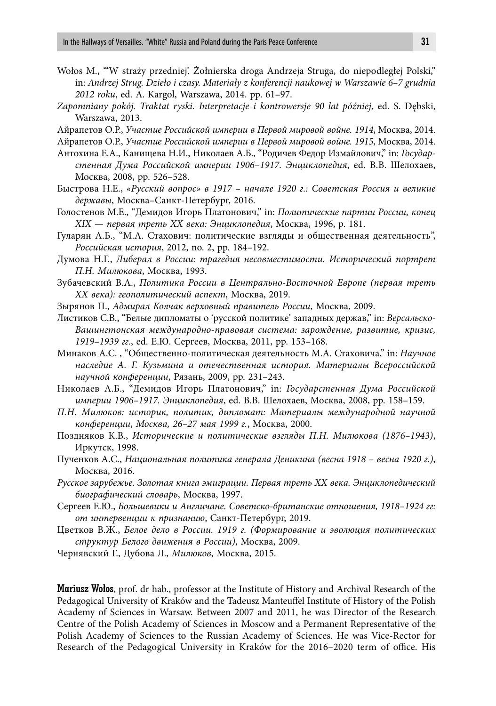- Wołos M., "'W straży przedniej'. Żołnierska droga Andrzeja Struga, do niepodległej Polski," in: *Andrzej Strug. Dzieło i czasy. Materiały z konferencji naukowej w Warszawie 6–7 grudnia 2012 roku*, ed. A. Kargol, Warszawa, 2014. pp. 61–97.
- *Zapomniany pokój. Traktat ryski. Interpretacje i kontrowersje 90 lat później*, ed. S. Dębski, Warszawa, 2013.
- Айрапетов О.Р., *Участие Российской империи в Первой мировой войне. 1914*, Москва, 2014.

Айрапетов О.Р., *Участие Российской империи в Первой мировой войне. 1915*, Москва, 2014.

- Антохина Е.А., Канищева Н.И., Николаев А.Б., "Родичев Федор Измайлович," in: *Государстенная Дума Российской империи 1906–1917. Энциклопедия*, ed. В.В. Шелохаев, Москва, 2008, pp. 526–528.
- Быстрова Н.Е., *«Русский вопрос» в 1917 начале 1920 г.: Советская Россия и великие державы*, Москва–Санкт-Петербург, 2016.
- Голостенов М.Е., "Демидов Игорь Платонович," in: *Политические партии России, конец XIX — первая треть XX века: Энциклопедия*, Москва, 1996, p. 181.
- Гуларян А.Б., "М.А. Стахович: политические взгляды и общественная деятельность", *Российская история*, 2012, no. 2, pp. 184–192.
- Думова Н.Г., *Либерал в России: трагедия несовместимости. Исторический портрет П.Н. Милюкова*, Москва, 1993.
- Зубачевский В.А., *Политика России в Центрально-Восточной Европе (первая треть ХХ века): геополитический аспект*, Москва, 2019.
- Зырянов П., *Адмирал Колчак верховный правитель России*, Москва, 2009.
- Листиков С.В., "Белые дипломаты о 'русской политике' западных держав," in: *Версальско-Вашингтонская международно-правовая система: зарождение, развитие, кризис, 1919*–*1939 гг.*, ed. Е.Ю. Сергеев, Москва, 2011, pp. 153–168.
- Минаков А.С. , "Общественно-политическая деятельность М.А. Стаховича," in: *Научное наследие А. Г. Кузьмина и отечественная история. Материалы Всероссийской научной конференции*, Рязань, 2009, pp. 231–243.
- Николаев А.Б., "Демидов Игорь Платонович," in: *Государстенная Дума Российской империи 1906–1917. Энциклопедия*, ed. В.В. Шелохаев, Москва, 2008, pp. 158–159.
- *П.Н. Милюков: историк, политик, дипломат: Материалы международной научной конференции*, *Москва, 26–27 мая 1999 г.*, Москва, 2000.
- Поздняков К.В., *Исторические и политические взгляды П.Н. Милюкова (1876–1943)*, Иркутск, 1998.
- Пученков А.С., *Национальная политика генерала Деникина (весна 1918 весна 1920 г.)*, Москва, 2016.
- *Русское зарубежье. Золотая книга эмиграции. Первая треть XX века. Энциклопедический биографический словарь*, Москва, 1997.
- Сергеев Е.Ю., *Большевики и Англичане. Советско-британские отношения, 1918–1924 гг: от интервенции к признанию*, Санкт-Петербург, 2019.
- Цветков В.Ж., *Белое дело в России. 1919 г. (Формирование и эволюция политических структур Белого движения в России)*, Москва, 2009.

Чернявский Г., Дубова Л., *Милюков*, Москва, 2015.

Mariusz Wołos, prof. dr hab., professor at the Institute of History and Archival Research of the Pedagogical University of Kraków and the Tadeusz Manteuffel Institute of History of the Polish Academy of Sciences in Warsaw. Between 2007 and 2011, he was Director of the Research Centre of the Polish Academy of Sciences in Moscow and a Permanent Representative of the Polish Academy of Sciences to the Russian Academy of Sciences. He was Vice-Rector for Research of the Pedagogical University in Kraków for the 2016–2020 term of office. His